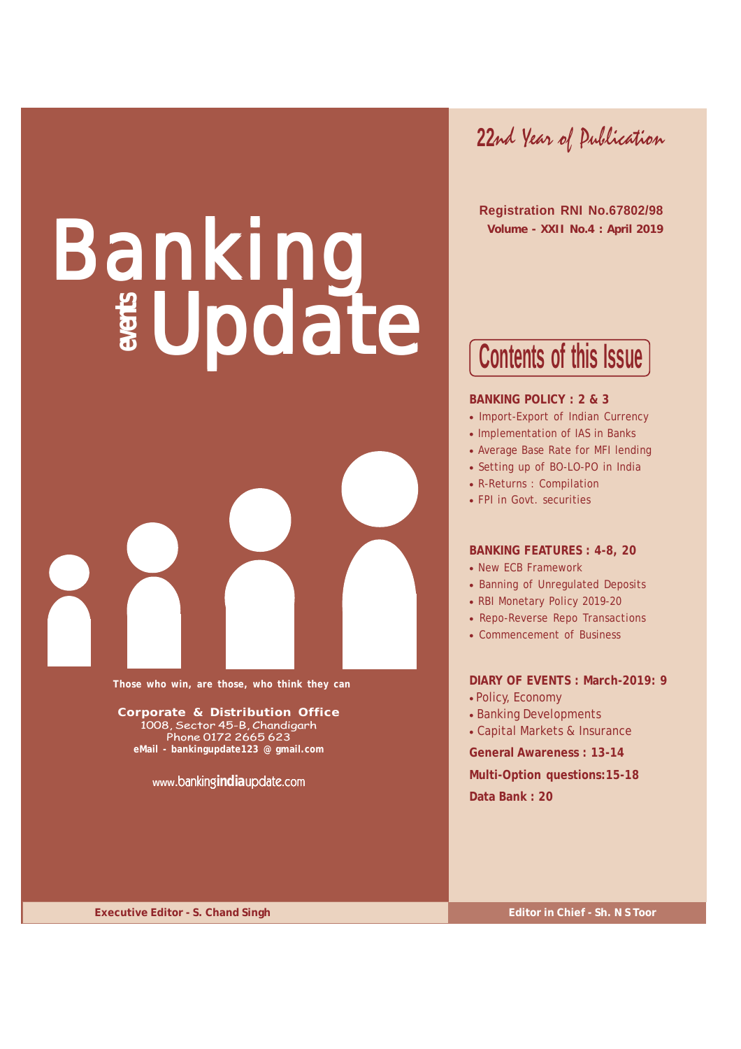# Banking Update



**Those who win, are those, who think they can**

**Corporate & Distribution Office** 1008, Sector 45-B, Chandigarh Phone 0172 2665 623 **eMail - bankingupdate123 @ gmail.com**

**www.**banking**india**update.com

**22**nd Year of Publication

 **Registration RNI No.67802/98 Volume - XXII No.4 : April 2019**

# **Contents of this Issue**

#### **BANKING POLICY : 2 & 3**

- Import-Export of Indian Currency
- Implementation of IAS in Banks
- Average Base Rate for MFI lending
- Setting up of BO-LO-PO in India
- R-Returns : Compilation
- FPI in Govt. securities

#### **BANKING FEATURES : 4-8, 20**

- New ECB Framework
- Banning of Unregulated Deposits
- RBI Monetary Policy 2019-20
- Repo-Reverse Repo Transactions
- Commencement of Business

### **DIARY OF EVENTS : March-2019: 9** • Policy, Economy

- Banking Developments
- Capital Markets & Insurance

**General Awareness : 13-14 Multi-Option questions:15-18 Data Bank : 20**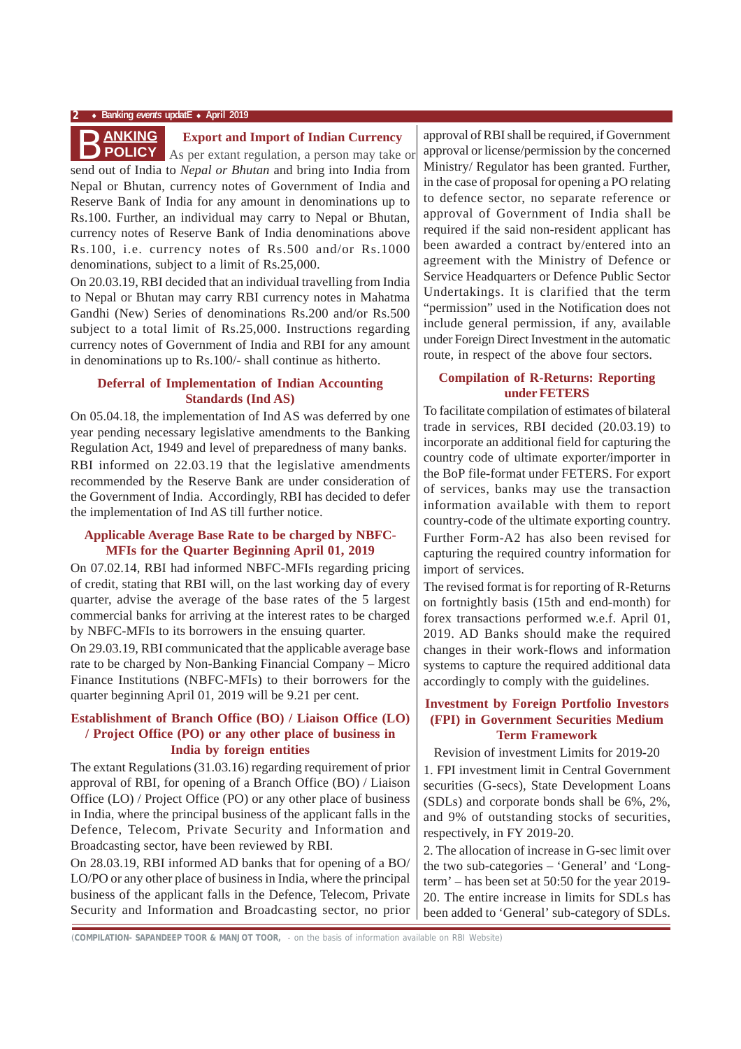#### **2** ♦ **Banking** *events* **updatE** ♦ **April 2019**

#### **Export and Import of Indian Currency**

send out of India to *Nepal or Bhutan* and bring into India from Nepal or Bhutan, currency notes of Government of India and Reserve Bank of India for any amount in denominations up to Rs.100. Further, an individual may carry to Nepal or Bhutan, currency notes of Reserve Bank of India denominations above Rs.100, i.e. currency notes of Rs.500 and/or Rs.1000 denominations, subject to a limit of Rs.25,000. **AS per extant regulation, a person may take or**<br>**As per extant regulation, a person may take or** 

On 20.03.19, RBI decided that an individual travelling from India to Nepal or Bhutan may carry RBI currency notes in Mahatma Gandhi (New) Series of denominations Rs.200 and/or Rs.500 subject to a total limit of Rs.25,000. Instructions regarding currency notes of Government of India and RBI for any amount in denominations up to Rs.100/- shall continue as hitherto.

#### **Deferral of Implementation of Indian Accounting Standards (Ind AS)**

On 05.04.18, the implementation of Ind AS was deferred by one year pending necessary legislative amendments to the Banking Regulation Act, 1949 and level of preparedness of many banks. RBI informed on 22.03.19 that the legislative amendments recommended by the Reserve Bank are under consideration of the Government of India. Accordingly, RBI has decided to defer the implementation of Ind AS till further notice.

#### **Applicable Average Base Rate to be charged by NBFC-MFIs for the Quarter Beginning April 01, 2019**

On 07.02.14, RBI had informed NBFC-MFIs regarding pricing of credit, stating that RBI will, on the last working day of every quarter, advise the average of the base rates of the 5 largest commercial banks for arriving at the interest rates to be charged by NBFC-MFIs to its borrowers in the ensuing quarter.

On 29.03.19, RBI communicated that the applicable average base rate to be charged by Non-Banking Financial Company – Micro Finance Institutions (NBFC-MFIs) to their borrowers for the quarter beginning April 01, 2019 will be 9.21 per cent.

#### **Establishment of Branch Office (BO) / Liaison Office (LO) / Project Office (PO) or any other place of business in India by foreign entities**

The extant Regulations (31.03.16) regarding requirement of prior approval of RBI, for opening of a Branch Office (BO) / Liaison Office (LO) / Project Office (PO) or any other place of business in India, where the principal business of the applicant falls in the Defence, Telecom, Private Security and Information and Broadcasting sector, have been reviewed by RBI.

On 28.03.19, RBI informed AD banks that for opening of a BO/ LO/PO or any other place of business in India, where the principal business of the applicant falls in the Defence, Telecom, Private Security and Information and Broadcasting sector, no prior

approval of RBI shall be required, if Government approval or license/permission by the concerned Ministry/ Regulator has been granted. Further, in the case of proposal for opening a PO relating to defence sector, no separate reference or approval of Government of India shall be required if the said non-resident applicant has been awarded a contract by/entered into an agreement with the Ministry of Defence or Service Headquarters or Defence Public Sector Undertakings. It is clarified that the term "permission" used in the Notification does not include general permission, if any, available under Foreign Direct Investment in the automatic route, in respect of the above four sectors.

#### **Compilation of R-Returns: Reporting under FETERS**

To facilitate compilation of estimates of bilateral trade in services, RBI decided (20.03.19) to incorporate an additional field for capturing the country code of ultimate exporter/importer in the BoP file-format under FETERS. For export of services, banks may use the transaction information available with them to report country-code of the ultimate exporting country. Further Form-A2 has also been revised for capturing the required country information for import of services.

The revised format is for reporting of R-Returns on fortnightly basis (15th and end-month) for forex transactions performed w.e.f. April 01, 2019. AD Banks should make the required changes in their work-flows and information systems to capture the required additional data accordingly to comply with the guidelines.

### **Investment by Foreign Portfolio Investors (FPI) in Government Securities Medium Term Framework**

Revision of investment Limits for 2019-20

1. FPI investment limit in Central Government securities (G-secs), State Development Loans (SDLs) and corporate bonds shall be 6%, 2%, and 9% of outstanding stocks of securities, respectively, in FY 2019-20.

2. The allocation of increase in G-sec limit over the two sub-categories – 'General' and 'Longterm' – has been set at 50:50 for the year 2019- 20. The entire increase in limits for SDLs has been added to 'General' sub-category of SDLs.

*(***COMPILATION- SAPANDEEP TOOR & MANJOT TOOR,** - on the basis of information available on RBI Website)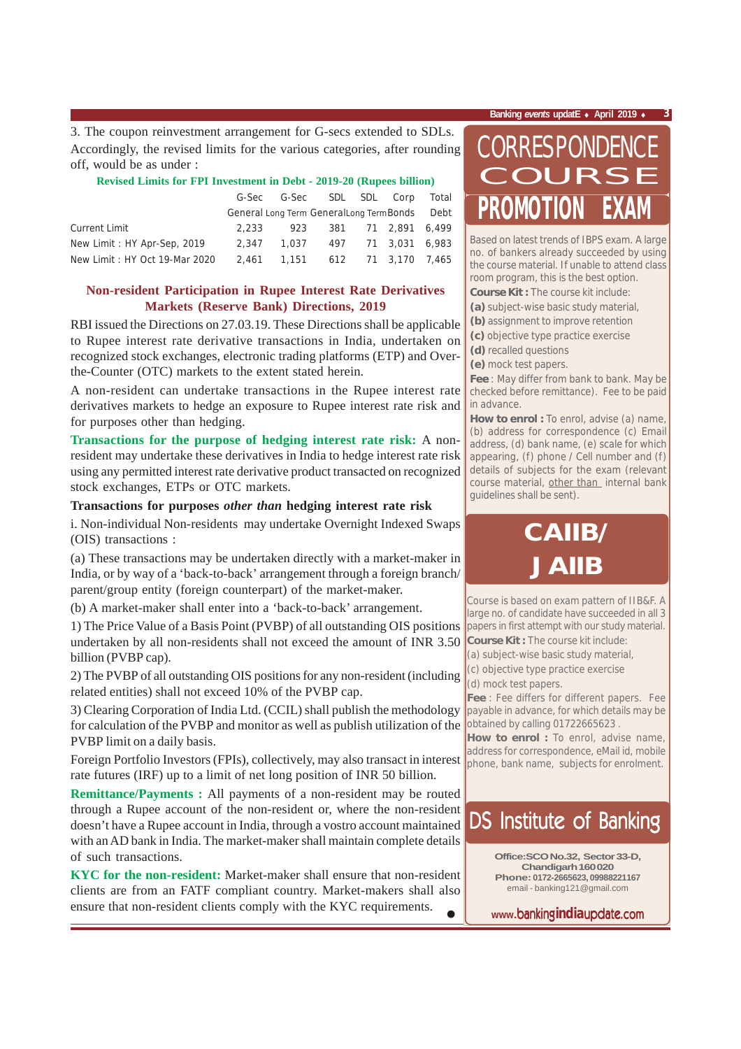3. The coupon reinvestment arrangement for G-secs extended to SDLs. Accordingly, the revised limits for the various categories, after rounding off, would be as under :

#### **Revised Limits for FPI Investment in Debt - 2019-20 (Rupees billion)**

|                               |       | G-Sec G-Sec SDL SDL Corp Total               |                        |  |  |
|-------------------------------|-------|----------------------------------------------|------------------------|--|--|
|                               |       | General Long Term GeneralLong TermBonds Debt |                        |  |  |
| <b>Current Limit</b>          | 2.233 |                                              | 923 381 71 2.891 6.499 |  |  |
| New Limit: HY Apr-Sep, 2019   |       | 2,347 1,037 497 71 3,031 6,983               |                        |  |  |
| New Limit: HY Oct 19-Mar 2020 |       | 2.461  1.151  612  71  3.170  7.465          |                        |  |  |

## **Non-resident Participation in Rupee Interest Rate Derivatives Markets (Reserve Bank) Directions, 2019**

RBI issued the Directions on 27.03.19. These Directions shall be applicable to Rupee interest rate derivative transactions in India, undertaken on recognized stock exchanges, electronic trading platforms (ETP) and Overthe-Counter (OTC) markets to the extent stated herein.

A non-resident can undertake transactions in the Rupee interest rate derivatives markets to hedge an exposure to Rupee interest rate risk and for purposes other than hedging.

**Transactions for the purpose of hedging interest rate risk:** A nonresident may undertake these derivatives in India to hedge interest rate risk using any permitted interest rate derivative product transacted on recognized stock exchanges, ETPs or OTC markets.

#### **Transactions for purposes** *other than* **hedging interest rate risk**

i. Non-individual Non-residents may undertake Overnight Indexed Swaps (OIS) transactions :

(a) These transactions may be undertaken directly with a market-maker in India, or by way of a 'back-to-back' arrangement through a foreign branch/ parent/group entity (foreign counterpart) of the market-maker.

(b) A market-maker shall enter into a 'back-to-back' arrangement.

1) The Price Value of a Basis Point (PVBP) of all outstanding OIS positions undertaken by all non-residents shall not exceed the amount of INR 3.50 billion (PVBP cap).

2) The PVBP of all outstanding OIS positions for any non-resident (including related entities) shall not exceed 10% of the PVBP cap.

3) Clearing Corporation of India Ltd. (CCIL) shall publish the methodology for calculation of the PVBP and monitor as well as publish utilization of the PVBP limit on a daily basis.

Foreign Portfolio Investors (FPIs), collectively, may also transact in interest rate futures (IRF) up to a limit of net long position of INR 50 billion.

**Remittance/Payments :** All payments of a non-resident may be routed through a Rupee account of the non-resident or, where the non-resident doesn't have a Rupee account in India, through a vostro account maintained with an AD bank in India. The market-maker shall maintain complete details of such transactions.

• **KYC for the non-resident:** Market-maker shall ensure that non-resident clients are from an FATF compliant country. Market-makers shall also ensure that non-resident clients comply with the KYC requirements.

# **PROMOTION EXAM** CORRESPONDENCE COURSE

Based on latest trends of IBPS exam. A large no. of bankers already succeeded by using the course material. If unable to attend class room program, this is the best option.

**Course Kit :** The course kit include:

**(a)** subject-wise basic study material,

**(b)** assignment to improve retention

**(c)** objective type practice exercise

**(d)** recalled questions

**(e)** mock test papers.

**Fee** : May differ from bank to bank. May be checked before remittance). Fee to be paid in advance.

How to enrol : To enrol, advise (a) name, (b) address for correspondence (c) Email address, (d) bank name, (e) scale for which appearing, (f) phone / Cell number and (f) details of subjects for the exam (relevant course material, other than internal bank guidelines shall be sent).

# **CAIIB/ JAIIB**

Course is based on exam pattern of IIB&F. A large no. of candidate have succeeded in all 3 papers in first attempt with our study material.

**Course Kit :** The course kit include:

(a) subject-wise basic study material,

(c) objective type practice exercise

(d) mock test papers.

**Fee** : Fee differs for different papers. Fee payable in advance, for which details may be obtained by calling 01722665623 .

**How to enrol :** To enrol, advise name, address for correspondence, eMail id, mobile phone, bank name, subjects for enrolment.

## DS Institute of Banking

**Office:SCO No.32, Sector 33-D, Chandigarh 160 020 Phone: 0172-2665623, 09988221167** email - banking121@gmail.com

**www.**banking**india**update.com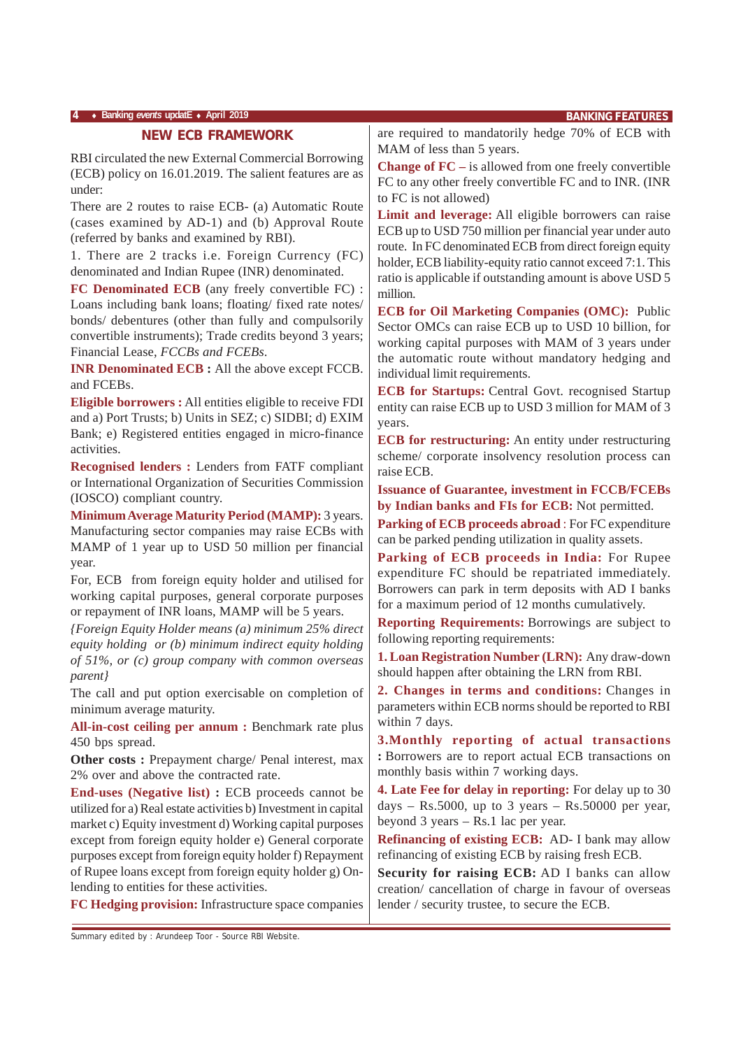#### **4** ♦ **Banking** *events* **updatE** ♦ **April 2019 BANKING FEATURES**

#### **NEW ECB FRAMEWORK**

RBI circulated the new External Commercial Borrowing (ECB) policy on 16.01.2019. The salient features are as under:

There are 2 routes to raise ECB- (a) Automatic Route (cases examined by AD-1) and (b) Approval Route (referred by banks and examined by RBI).

1. There are 2 tracks i.e. Foreign Currency (FC) denominated and Indian Rupee (INR) denominated.

**FC Denominated ECB** (any freely convertible FC) : Loans including bank loans; floating/ fixed rate notes/ bonds/ debentures (other than fully and compulsorily convertible instruments); Trade credits beyond 3 years; Financial Lease, *FCCBs and FCEBs*.

**INR Denominated ECB :** All the above except FCCB. and FCEBs.

**Eligible borrowers :** All entities eligible to receive FDI and a) Port Trusts; b) Units in SEZ; c) SIDBI; d) EXIM Bank; e) Registered entities engaged in micro-finance activities.

**Recognised lenders :** Lenders from FATF compliant or International Organization of Securities Commission (IOSCO) compliant country.

**Minimum Average Maturity Period (MAMP):** 3 years. Manufacturing sector companies may raise ECBs with MAMP of 1 year up to USD 50 million per financial year.

For, ECB from foreign equity holder and utilised for working capital purposes, general corporate purposes or repayment of INR loans, MAMP will be 5 years.

*{Foreign Equity Holder means (a) minimum 25% direct equity holding or (b) minimum indirect equity holding of 51%, or (c) group company with common overseas parent}*

The call and put option exercisable on completion of minimum average maturity.

**All-in-cost ceiling per annum :** Benchmark rate plus 450 bps spread.

**Other costs : Prepayment charge/ Penal interest, max** 2% over and above the contracted rate.

**End-uses (Negative list) :** ECB proceeds cannot be utilized for a) Real estate activities b) Investment in capital market c) Equity investment d) Working capital purposes except from foreign equity holder e) General corporate purposes except from foreign equity holder f) Repayment of Rupee loans except from foreign equity holder g) Onlending to entities for these activities.

**FC Hedging provision:** Infrastructure space companies

are required to mandatorily hedge 70% of ECB with MAM of less than 5 years.

**Change of FC –** is allowed from one freely convertible FC to any other freely convertible FC and to INR. (INR to FC is not allowed)

**Limit and leverage:** All eligible borrowers can raise ECB up to USD 750 million per financial year under auto route. In FC denominated ECB from direct foreign equity holder, ECB liability-equity ratio cannot exceed 7:1. This ratio is applicable if outstanding amount is above USD 5 million.

**ECB for Oil Marketing Companies (OMC):** Public Sector OMCs can raise ECB up to USD 10 billion, for working capital purposes with MAM of 3 years under the automatic route without mandatory hedging and individual limit requirements.

**ECB for Startups:** Central Govt. recognised Startup entity can raise ECB up to USD 3 million for MAM of 3 years.

**ECB for restructuring:** An entity under restructuring scheme/ corporate insolvency resolution process can raise ECB.

**Issuance of Guarantee, investment in FCCB/FCEBs by Indian banks and FIs for ECB:** Not permitted.

**Parking of ECB proceeds abroad** : For FC expenditure can be parked pending utilization in quality assets.

**Parking of ECB proceeds in India:** For Rupee expenditure FC should be repatriated immediately. Borrowers can park in term deposits with AD I banks for a maximum period of 12 months cumulatively.

**Reporting Requirements:** Borrowings are subject to following reporting requirements:

**1. Loan Registration Number (LRN):** Any draw-down should happen after obtaining the LRN from RBI.

**2. Changes in terms and conditions:** Changes in parameters within ECB norms should be reported to RBI within 7 days.

**3.Monthly reporting of actual transactions :** Borrowers are to report actual ECB transactions on monthly basis within 7 working days.

**4. Late Fee for delay in reporting:** For delay up to 30 days – Rs.5000, up to 3 years – Rs.50000 per year, beyond 3 years – Rs.1 lac per year.

**Refinancing of existing ECB:** AD- I bank may allow refinancing of existing ECB by raising fresh ECB.

**Security for raising ECB:** AD I banks can allow creation/ cancellation of charge in favour of overseas lender / security trustee, to secure the ECB.

Summary edited by : Arundeep Toor - Source RBI Website.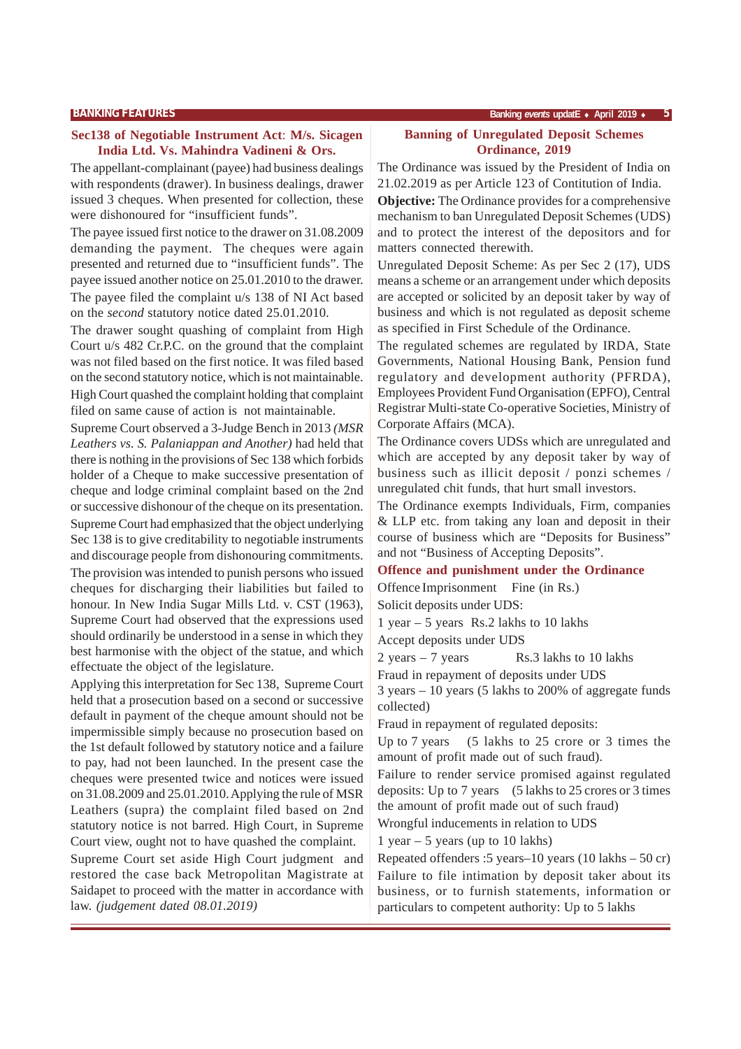#### **Sec138 of Negotiable Instrument Act**: **M/s. Sicagen India Ltd. Vs. Mahindra Vadineni & Ors.**

The appellant-complainant (payee) had business dealings with respondents (drawer). In business dealings, drawer issued 3 cheques. When presented for collection, these were dishonoured for "insufficient funds".

The payee issued first notice to the drawer on 31.08.2009 demanding the payment. The cheques were again presented and returned due to "insufficient funds". The payee issued another notice on 25.01.2010 to the drawer. The payee filed the complaint u/s 138 of NI Act based on the *second* statutory notice dated 25.01.2010.

The drawer sought quashing of complaint from High Court u/s 482 Cr.P.C. on the ground that the complaint was not filed based on the first notice. It was filed based on the second statutory notice, which is not maintainable. High Court quashed the complaint holding that complaint filed on same cause of action is not maintainable.

Supreme Court observed a 3-Judge Bench in 2013 *(MSR Leathers vs. S. Palaniappan and Another)* had held that there is nothing in the provisions of Sec 138 which forbids holder of a Cheque to make successive presentation of cheque and lodge criminal complaint based on the 2nd or successive dishonour of the cheque on its presentation. Supreme Court had emphasized that the object underlying Sec 138 is to give creditability to negotiable instruments and discourage people from dishonouring commitments. The provision was intended to punish persons who issued cheques for discharging their liabilities but failed to honour. In New India Sugar Mills Ltd. v. CST (1963), Supreme Court had observed that the expressions used should ordinarily be understood in a sense in which they best harmonise with the object of the statue, and which effectuate the object of the legislature.

Applying this interpretation for Sec 138, Supreme Court held that a prosecution based on a second or successive default in payment of the cheque amount should not be impermissible simply because no prosecution based on the 1st default followed by statutory notice and a failure to pay, had not been launched. In the present case the cheques were presented twice and notices were issued on 31.08.2009 and 25.01.2010. Applying the rule of MSR Leathers (supra) the complaint filed based on 2nd statutory notice is not barred. High Court, in Supreme Court view, ought not to have quashed the complaint.

Supreme Court set aside High Court judgment and restored the case back Metropolitan Magistrate at Saidapet to proceed with the matter in accordance with law. *(judgement dated 08.01.2019)*

#### **BANKING FEATURES Banking** *events* **updatE** ♦ **April 2019** ♦ **5**

#### **Banning of Unregulated Deposit Schemes Ordinance, 2019**

The Ordinance was issued by the President of India on 21.02.2019 as per Article 123 of Contitution of India.

**Objective:** The Ordinance provides for a comprehensive mechanism to ban Unregulated Deposit Schemes (UDS) and to protect the interest of the depositors and for matters connected therewith.

Unregulated Deposit Scheme: As per Sec 2 (17), UDS means a scheme or an arrangement under which deposits are accepted or solicited by an deposit taker by way of business and which is not regulated as deposit scheme as specified in First Schedule of the Ordinance.

The regulated schemes are regulated by IRDA, State Governments, National Housing Bank, Pension fund regulatory and development authority (PFRDA), Employees Provident Fund Organisation (EPFO), Central Registrar Multi-state Co-operative Societies, Ministry of Corporate Affairs (MCA).

The Ordinance covers UDSs which are unregulated and which are accepted by any deposit taker by way of business such as illicit deposit / ponzi schemes / unregulated chit funds, that hurt small investors.

The Ordinance exempts Individuals, Firm, companies & LLP etc. from taking any loan and deposit in their course of business which are "Deposits for Business" and not "Business of Accepting Deposits".

## **Offence and punishment under the Ordinance**

Offence Imprisonment Fine (in Rs.)

Solicit deposits under UDS:

1 year – 5 years Rs.2 lakhs to 10 lakhs Accept deposits under UDS

 $2 \text{ years} - 7 \text{ years}$  Rs.3 lakhs to 10 lakhs

Fraud in repayment of deposits under UDS

3 years – 10 years (5 lakhs to 200% of aggregate funds collected)

Fraud in repayment of regulated deposits:

Up to 7 years (5 lakhs to 25 crore or 3 times the amount of profit made out of such fraud).

Failure to render service promised against regulated deposits: Up to 7 years (5 lakhs to 25 crores or 3 times the amount of profit made out of such fraud)

Wrongful inducements in relation to UDS

1 year  $-5$  years (up to 10 lakhs)

Repeated offenders :5 years–10 years (10 lakhs – 50 cr) Failure to file intimation by deposit taker about its business, or to furnish statements, information or particulars to competent authority: Up to 5 lakhs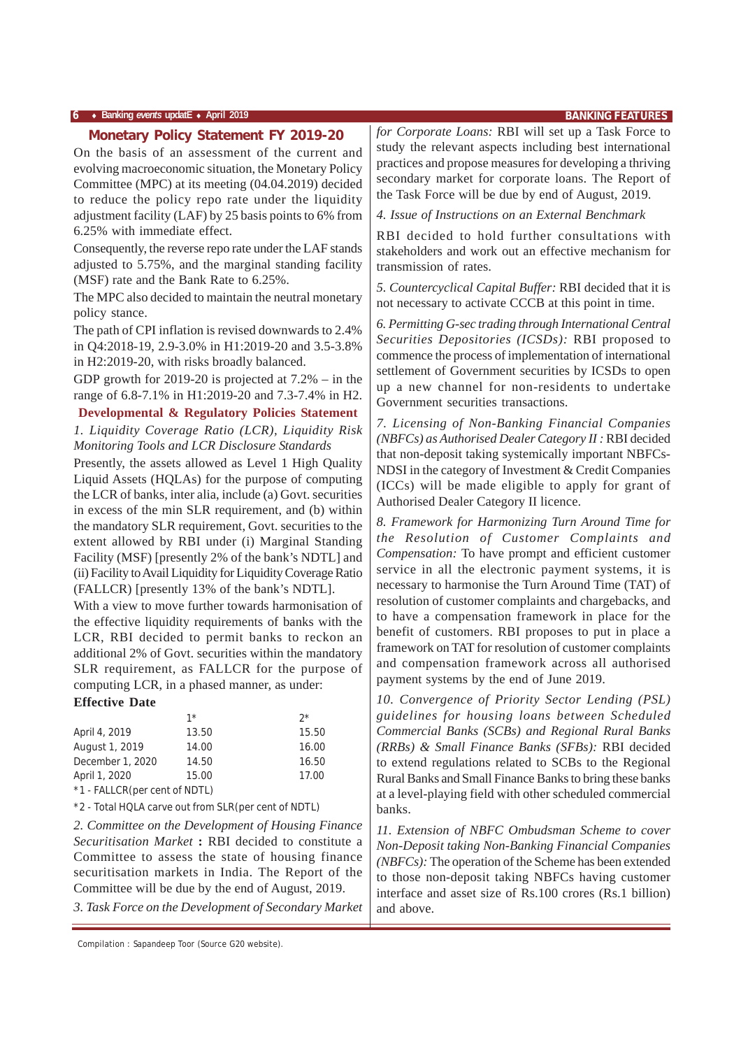On the basis of an assessment of the current and evolving macroeconomic situation, the Monetary Policy Committee (MPC) at its meeting (04.04.2019) decided to reduce the policy repo rate under the liquidity adjustment facility (LAF) by 25 basis points to 6% from 6.25% with immediate effect.

Consequently, the reverse repo rate under the LAF stands adjusted to 5.75%, and the marginal standing facility (MSF) rate and the Bank Rate to 6.25%.

The MPC also decided to maintain the neutral monetary policy stance.

The path of CPI inflation is revised downwards to 2.4% in Q4:2018-19, 2.9-3.0% in H1:2019-20 and 3.5-3.8% in H2:2019-20, with risks broadly balanced.

GDP growth for 2019-20 is projected at 7.2% – in the range of 6.8-7.1% in H1:2019-20 and 7.3-7.4% in H2.

**Developmental & Regulatory Policies Statement** *1. Liquidity Coverage Ratio (LCR), Liquidity Risk Monitoring Tools and LCR Disclosure Standards*

Presently, the assets allowed as Level 1 High Quality Liquid Assets (HQLAs) for the purpose of computing the LCR of banks, inter alia, include (a) Govt. securities in excess of the min SLR requirement, and (b) within the mandatory SLR requirement, Govt. securities to the extent allowed by RBI under (i) Marginal Standing Facility (MSF) [presently 2% of the bank's NDTL] and (ii) Facility to Avail Liquidity for Liquidity Coverage Ratio (FALLCR) [presently 13% of the bank's NDTL].

With a view to move further towards harmonisation of the effective liquidity requirements of banks with the LCR, RBI decided to permit banks to reckon an additional 2% of Govt. securities within the mandatory SLR requirement, as FALLCR for the purpose of computing LCR, in a phased manner, as under: **Effective Date**

|                               | $1*$  | $2^{\star}$ |
|-------------------------------|-------|-------------|
| April 4, 2019                 | 13.50 | 15.50       |
| August 1, 2019                | 14.00 | 16.00       |
| December 1, 2020              | 14.50 | 16.50       |
| April 1, 2020                 | 15.00 | 17.00       |
| *1 - FALLCR(per cent of NDTL) |       |             |

\*2 - Total HQLA carve out from SLR(per cent of NDTL)

*2. Committee on the Development of Housing Finance Securitisation Market* **:** RBI decided to constitute a Committee to assess the state of housing finance securitisation markets in India. The Report of the Committee will be due by the end of August, 2019.

*3. Task Force on the Development of Secondary Market*

Compilation : Sapandeep Toor (Source G20 website).

**Monetary Policy Statement FY 2019-20** *for Corporate Loans:* RBI will set up a Task Force to study the relevant aspects including best international practices and propose measures for developing a thriving secondary market for corporate loans. The Report of the Task Force will be due by end of August, 2019.

*4. Issue of Instructions on an External Benchmark*

RBI decided to hold further consultations with stakeholders and work out an effective mechanism for transmission of rates.

*5. Countercyclical Capital Buffer:* RBI decided that it is not necessary to activate CCCB at this point in time.

*6. Permitting G-sec trading through International Central Securities Depositories (ICSDs):* RBI proposed to commence the process of implementation of international settlement of Government securities by ICSDs to open up a new channel for non-residents to undertake Government securities transactions.

*7. Licensing of Non-Banking Financial Companies (NBFCs) as Authorised Dealer Category II :* RBI decided that non-deposit taking systemically important NBFCs-NDSI in the category of Investment & Credit Companies (ICCs) will be made eligible to apply for grant of Authorised Dealer Category II licence.

*8. Framework for Harmonizing Turn Around Time for the Resolution of Customer Complaints and Compensation:* To have prompt and efficient customer service in all the electronic payment systems, it is necessary to harmonise the Turn Around Time (TAT) of resolution of customer complaints and chargebacks, and to have a compensation framework in place for the benefit of customers. RBI proposes to put in place a framework on TAT for resolution of customer complaints and compensation framework across all authorised payment systems by the end of June 2019.

*10. Convergence of Priority Sector Lending (PSL) guidelines for housing loans between Scheduled Commercial Banks (SCBs) and Regional Rural Banks (RRBs) & Small Finance Banks (SFBs):* RBI decided to extend regulations related to SCBs to the Regional Rural Banks and Small Finance Banks to bring these banks at a level-playing field with other scheduled commercial banks.

*11. Extension of NBFC Ombudsman Scheme to cover Non-Deposit taking Non-Banking Financial Companies (NBFCs):* The operation of the Scheme has been extended to those non-deposit taking NBFCs having customer interface and asset size of Rs.100 crores (Rs.1 billion) and above.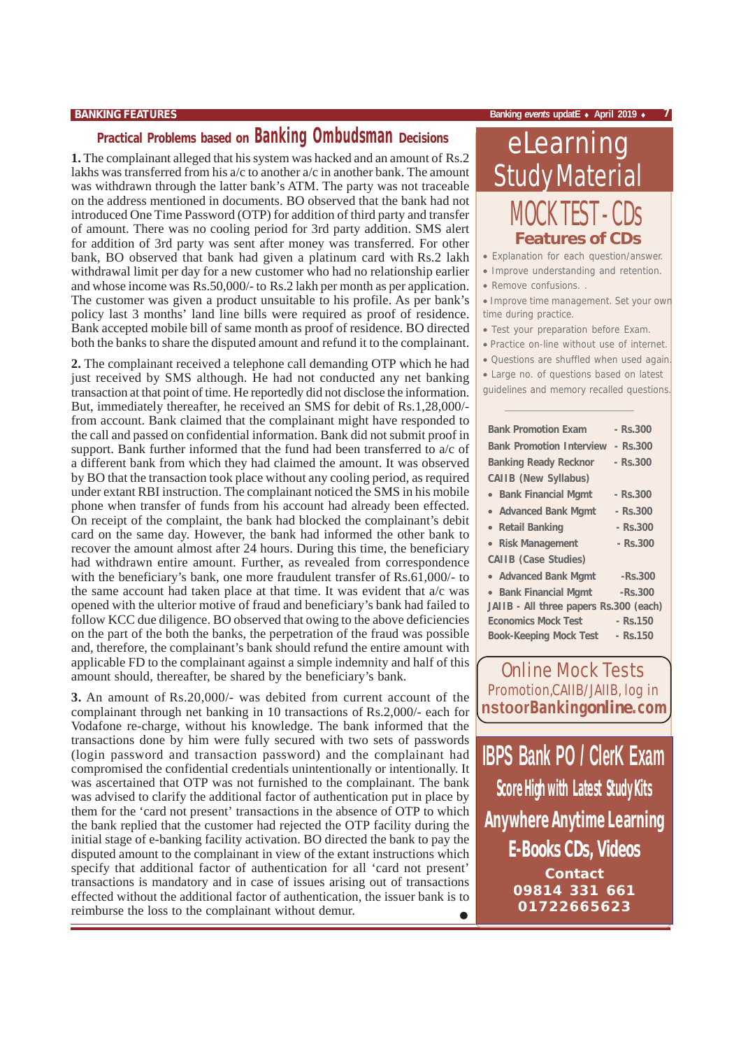## **Practical Problems based on Banking Ombudsman Decisions**

**1.** The complainant alleged that his system was hacked and an amount of Rs.2 lakhs was transferred from his a/c to another a/c in another bank. The amount was withdrawn through the latter bank's ATM. The party was not traceable on the address mentioned in documents. BO observed that the bank had not introduced One Time Password (OTP) for addition of third party and transfer of amount. There was no cooling period for 3rd party addition. SMS alert for addition of 3rd party was sent after money was transferred. For other bank, BO observed that bank had given a platinum card with Rs.2 lakh withdrawal limit per day for a new customer who had no relationship earlier and whose income was Rs.50,000/- to Rs.2 lakh per month as per application. The customer was given a product unsuitable to his profile. As per bank's policy last 3 months' land line bills were required as proof of residence. Bank accepted mobile bill of same month as proof of residence. BO directed both the banks to share the disputed amount and refund it to the complainant.

**2.** The complainant received a telephone call demanding OTP which he had just received by SMS although. He had not conducted any net banking transaction at that point of time. He reportedly did not disclose the information. But, immediately thereafter, he received an SMS for debit of Rs.1,28,000/ from account. Bank claimed that the complainant might have responded to the call and passed on confidential information. Bank did not submit proof in support. Bank further informed that the fund had been transferred to a/c of a different bank from which they had claimed the amount. It was observed by BO that the transaction took place without any cooling period, as required under extant RBI instruction. The complainant noticed the SMS in his mobile phone when transfer of funds from his account had already been effected. On receipt of the complaint, the bank had blocked the complainant's debit card on the same day. However, the bank had informed the other bank to recover the amount almost after 24 hours. During this time, the beneficiary had withdrawn entire amount. Further, as revealed from correspondence with the beneficiary's bank, one more fraudulent transfer of Rs.61,000/- to the same account had taken place at that time. It was evident that a/c was opened with the ulterior motive of fraud and beneficiary's bank had failed to follow KCC due diligence. BO observed that owing to the above deficiencies on the part of the both the banks, the perpetration of the fraud was possible and, therefore, the complainant's bank should refund the entire amount with applicable FD to the complainant against a simple indemnity and half of this amount should, thereafter, be shared by the beneficiary's bank.

• **3.** An amount of Rs.20,000/- was debited from current account of the complainant through net banking in 10 transactions of Rs.2,000/- each for Vodafone re-charge, without his knowledge. The bank informed that the transactions done by him were fully secured with two sets of passwords (login password and transaction password) and the complainant had compromised the confidential credentials unintentionally or intentionally. It was ascertained that OTP was not furnished to the complainant. The bank was advised to clarify the additional factor of authentication put in place by them for the 'card not present' transactions in the absence of OTP to which the bank replied that the customer had rejected the OTP facility during the initial stage of e-banking facility activation. BO directed the bank to pay the disputed amount to the complainant in view of the extant instructions which specify that additional factor of authentication for all 'card not present' transactions is mandatory and in case of issues arising out of transactions effected without the additional factor of authentication, the issuer bank is to reimburse the loss to the complainant without demur.

#### **BANKING FEATURES Banking** *events* **updatE** ♦ **April 2019** ♦ **7**

# eLearning Study Material MOCK TEST - CDs **Features of CDs**

• Explanation for each question/answer.

- Improve understanding and retention.
- Remove confusions. .

• Improve time management. Set your own time during practice.

- Test your preparation before Exam.
- Practice on-line without use of internet.
- Questions are shuffled when used again.
- Large no. of questions based on latest guidelines and memory recalled questions.

| <b>Bank Promotion Exam</b>             | $-$ Rs.300  |
|----------------------------------------|-------------|
| <b>Bank Promotion Interview</b>        | - Rs.300    |
| <b>Banking Ready Recknor</b>           | $-$ Rs.300  |
| <b>CAIIB (New Syllabus)</b>            |             |
| <b>Bank Financial Mgmt</b>             | - Rs.300    |
| • Advanced Bank Mgmt                   | - Rs.300    |
| • Retail Banking                       | $-$ Rs. 300 |
| • Risk Management                      | $-$ Rs.300  |
| <b>CAIIB (Case Studies)</b>            |             |
| • Advanced Bank Mgmt                   | $-Rs.300$   |
| • Bank Financial Mgmt                  | -Rs.300     |
| JAIIB - All three papers Rs.300 (each) |             |
| <b>Economics Mock Test</b>             | $-$ Rs. 150 |
| <b>Book-Keeping Mock Test</b>          | - Rs.150    |
|                                        |             |

Online Mock Tests Promotion,CAIIB/JAIIB, log in **nstoorBanking***online***.com**

**IBPS Bank PO / ClerK Exam Score High with Latest Study Kits E-Books CDs, Videos Contact 09814 331 661 01722665623 Anywhere Anytime Learning**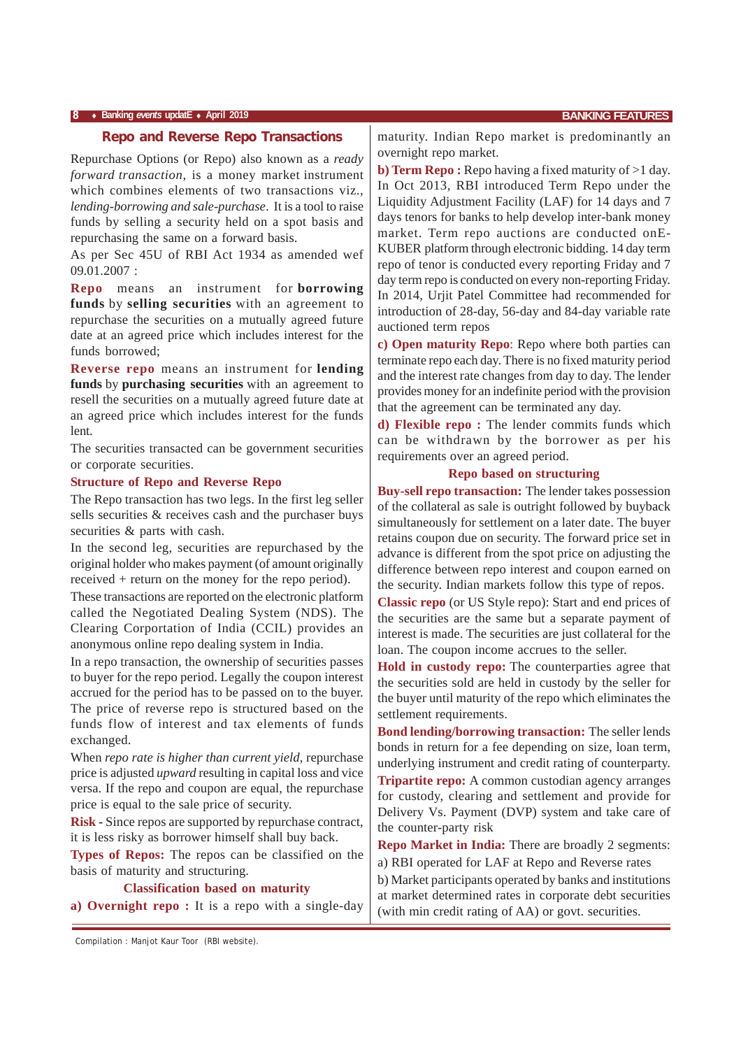#### **8** ♦ **Banking** *events* **updatE** ♦ **April 2019 BANKING FEATURES**

Repurchase Options (or Repo) also known as a *ready forward transaction*, is a money market instrument which combines elements of two transactions viz., *lending-borrowing and sale-purchase*. It is a tool to raise funds by selling a security held on a spot basis and repurchasing the same on a forward basis.

As per Sec 45U of RBI Act 1934 as amended wef 09.01.2007 :

**Repo** means an instrument for **borrowing funds** by **selling securities** with an agreement to repurchase the securities on a mutually agreed future date at an agreed price which includes interest for the funds borrowed;

**Reverse repo** means an instrument for **lending funds** by **purchasing securities** with an agreement to resell the securities on a mutually agreed future date at an agreed price which includes interest for the funds lent.

The securities transacted can be government securities or corporate securities.

#### **Structure of Repo and Reverse Repo**

The Repo transaction has two legs. In the first leg seller sells securities & receives cash and the purchaser buys securities & parts with cash.

In the second leg, securities are repurchased by the original holder who makes payment (of amount originally received + return on the money for the repo period).

These transactions are reported on the electronic platform called the Negotiated Dealing System (NDS). The Clearing Corportation of India (CCIL) provides an anonymous online repo dealing system in India.

In a repo transaction, the ownership of securities passes to buyer for the repo period. Legally the coupon interest accrued for the period has to be passed on to the buyer. The price of reverse repo is structured based on the funds flow of interest and tax elements of funds exchanged.

When *repo rate is higher than current yield*, repurchase price is adjusted *upward* resulting in capital loss and vice versa. If the repo and coupon are equal, the repurchase price is equal to the sale price of security.

**Risk -** Since repos are supported by repurchase contract, it is less risky as borrower himself shall buy back.

**Types of Repos:** The repos can be classified on the basis of maturity and structuring.

#### **Classification based on maturity**

**a) Overnight repo :** It is a repo with a single-day

maturity. Indian Repo market is predominantly an overnight repo market.

**b) Term Repo :** Repo having a fixed maturity of >1 day. In Oct 2013, RBI introduced Term Repo under the Liquidity Adjustment Facility (LAF) for 14 days and 7 days tenors for banks to help develop inter-bank money market. Term repo auctions are conducted onE-KUBER platform through electronic bidding. 14 day term repo of tenor is conducted every reporting Friday and 7 day term repo is conducted on every non-reporting Friday. In 2014, Urjit Patel Committee had recommended for introduction of 28-day, 56-day and 84-day variable rate auctioned term repos

**c) Open maturity Repo**: Repo where both parties can terminate repo each day. There is no fixed maturity period and the interest rate changes from day to day. The lender provides money for an indefinite period with the provision that the agreement can be terminated any day.

**d) Flexible repo :** The lender commits funds which can be withdrawn by the borrower as per his requirements over an agreed period.

#### **Repo based on structuring**

**Buy-sell repo transaction:** The lender takes possession of the collateral as sale is outright followed by buyback simultaneously for settlement on a later date. The buyer retains coupon due on security. The forward price set in advance is different from the spot price on adjusting the difference between repo interest and coupon earned on the security. Indian markets follow this type of repos.

**Classic repo** (or US Style repo): Start and end prices of the securities are the same but a separate payment of interest is made. The securities are just collateral for the loan. The coupon income accrues to the seller.

**Hold in custody repo:** The counterparties agree that the securities sold are held in custody by the seller for the buyer until maturity of the repo which eliminates the settlement requirements.

**Bond lending/borrowing transaction:** The seller lends bonds in return for a fee depending on size, loan term, underlying instrument and credit rating of counterparty.

**Tripartite repo:** A common custodian agency arranges for custody, clearing and settlement and provide for Delivery Vs. Payment (DVP) system and take care of the counter-party risk

**Repo Market in India:** There are broadly 2 segments: a) RBI operated for LAF at Repo and Reverse rates

b) Market participants operated by banks and institutions at market determined rates in corporate debt securities (with min credit rating of AA) or govt. securities.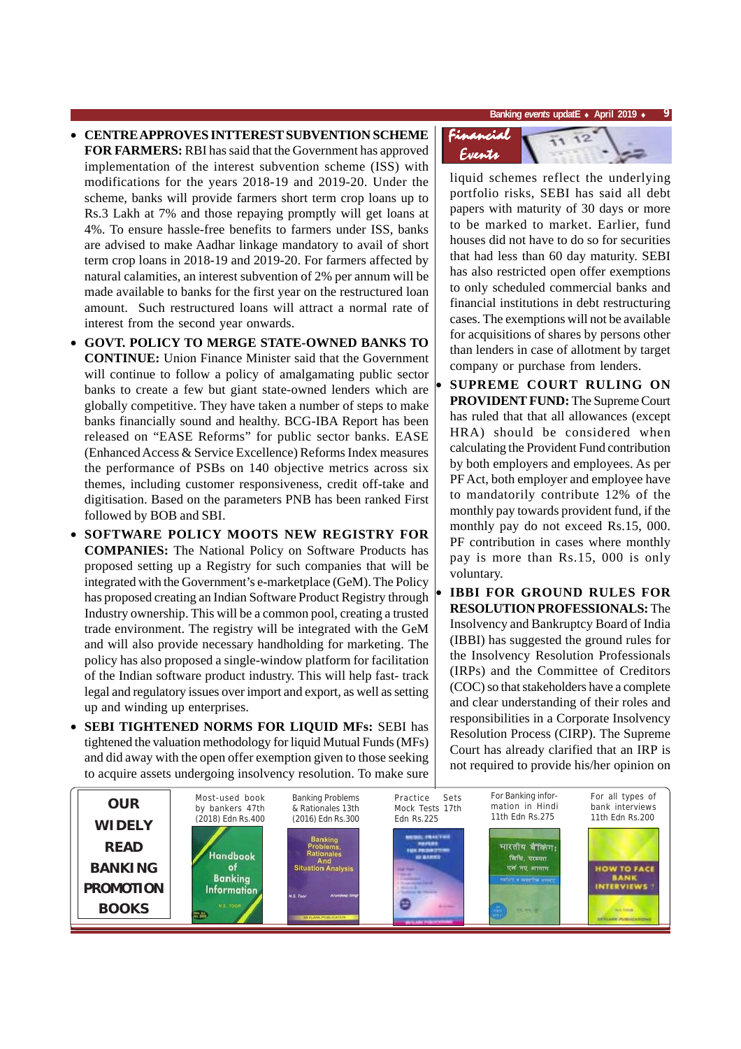- **CENTRE APPROVES INTTEREST SUBVENTION SCHEME FOR FARMERS:** RBI has said that the Government has approved implementation of the interest subvention scheme (ISS) with modifications for the years 2018-19 and 2019-20. Under the scheme, banks will provide farmers short term crop loans up to Rs.3 Lakh at 7% and those repaying promptly will get loans at 4%. To ensure hassle-free benefits to farmers under ISS, banks are advised to make Aadhar linkage mandatory to avail of short term crop loans in 2018-19 and 2019-20. For farmers affected by natural calamities, an interest subvention of 2% per annum will be made available to banks for the first year on the restructured loan amount. Such restructured loans will attract a normal rate of interest from the second year onwards.
- **GOVT. POLICY TO MERGE STATE-OWNED BANKS TO CONTINUE:** Union Finance Minister said that the Government will continue to follow a policy of amalgamating public sector banks to create a few but giant state-owned lenders which are globally competitive. They have taken a number of steps to make banks financially sound and healthy. BCG-IBA Report has been released on "EASE Reforms" for public sector banks. EASE (Enhanced Access & Service Excellence) Reforms Index measures the performance of PSBs on 140 objective metrics across six themes, including customer responsiveness, credit off-take and digitisation. Based on the parameters PNB has been ranked First followed by BOB and SBI.
- **SOFTWARE POLICY MOOTS NEW REGISTRY FOR COMPANIES:** The National Policy on Software Products has proposed setting up a Registry for such companies that will be integrated with the Government's e-marketplace (GeM). The Policy has proposed creating an Indian Software Product Registry through Industry ownership. This will be a common pool, creating a trusted trade environment. The registry will be integrated with the GeM and will also provide necessary handholding for marketing. The policy has also proposed a single-window platform for facilitation of the Indian software product industry. This will help fast- track legal and regulatory issues over import and export, as well as setting up and winding up enterprises.
- **SEBI TIGHTENED NORMS FOR LIQUID MFs:** SEBI has tightened the valuation methodology for liquid Mutual Funds (MFs) and did away with the open offer exemption given to those seeking to acquire assets undergoing insolvency resolution. To make sure



liquid schemes reflect the underlying portfolio risks, SEBI has said all debt papers with maturity of 30 days or more to be marked to market. Earlier, fund houses did not have to do so for securities that had less than 60 day maturity. SEBI has also restricted open offer exemptions to only scheduled commercial banks and financial institutions in debt restructuring cases. The exemptions will not be available for acquisitions of shares by persons other than lenders in case of allotment by target company or purchase from lenders.

- **SUPREME COURT RULING ON PROVIDENT FUND:** The Supreme Court has ruled that that all allowances (except HRA) should be considered when calculating the Provident Fund contribution by both employers and employees. As per PF Act, both employer and employee have to mandatorily contribute 12% of the monthly pay towards provident fund, if the monthly pay do not exceed Rs.15, 000. PF contribution in cases where monthly pay is more than Rs.15, 000 is only voluntary.
- **IBBI FOR GROUND RULES FOR RESOLUTION PROFESSIONALS:** The Insolvency and Bankruptcy Board of India (IBBI) has suggested the ground rules for the Insolvency Resolution Professionals (IRPs) and the Committee of Creditors (COC) so that stakeholders have a complete and clear understanding of their roles and responsibilities in a Corporate Insolvency Resolution Process (CIRP). The Supreme Court has already clarified that an IRP is not required to provide his/her opinion on

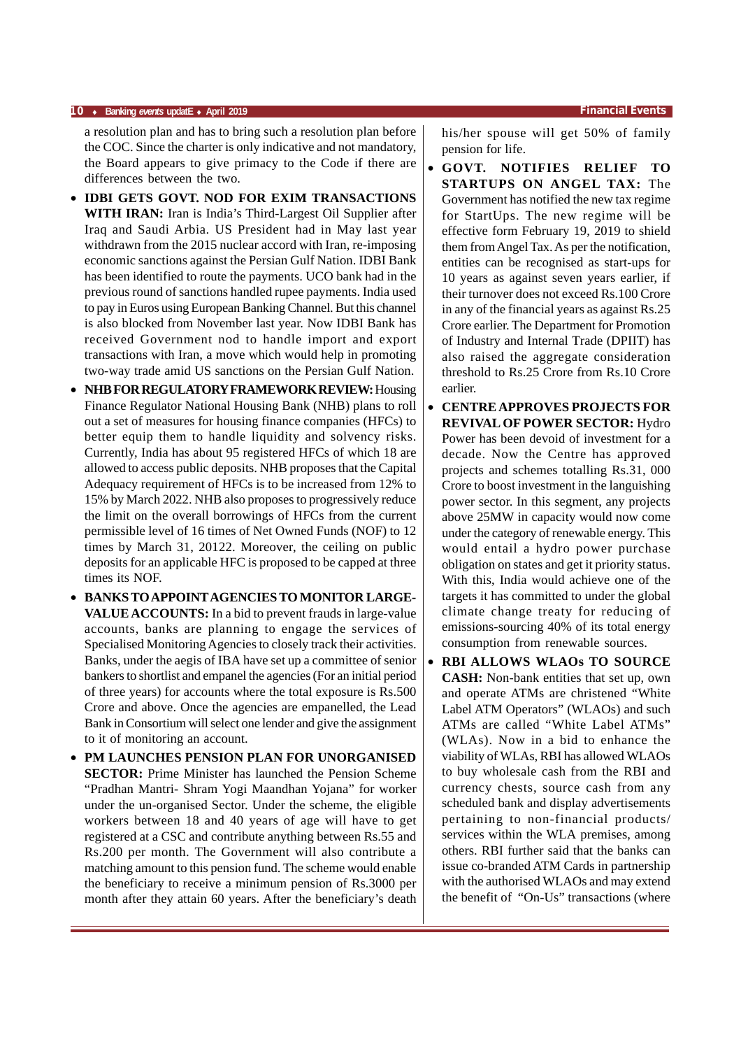#### **10** ♦ **Banking** *events* **updatE** ♦ **April 2019 Financial Events**

a resolution plan and has to bring such a resolution plan before the COC. Since the charter is only indicative and not mandatory, the Board appears to give primacy to the Code if there are differences between the two.

- **IDBI GETS GOVT. NOD FOR EXIM TRANSACTIONS WITH IRAN:** Iran is India's Third-Largest Oil Supplier after Iraq and Saudi Arbia. US President had in May last year withdrawn from the 2015 nuclear accord with Iran, re-imposing economic sanctions against the Persian Gulf Nation. IDBI Bank has been identified to route the payments. UCO bank had in the previous round of sanctions handled rupee payments. India used to pay in Euros using European Banking Channel. But this channel is also blocked from November last year. Now IDBI Bank has received Government nod to handle import and export transactions with Iran, a move which would help in promoting two-way trade amid US sanctions on the Persian Gulf Nation.
- **NHB FOR REGULATORY FRAMEWORK REVIEW:** Housing Finance Regulator National Housing Bank (NHB) plans to roll out a set of measures for housing finance companies (HFCs) to better equip them to handle liquidity and solvency risks. Currently, India has about 95 registered HFCs of which 18 are allowed to access public deposits. NHB proposes that the Capital Adequacy requirement of HFCs is to be increased from 12% to 15% by March 2022. NHB also proposes to progressively reduce the limit on the overall borrowings of HFCs from the current permissible level of 16 times of Net Owned Funds (NOF) to 12 times by March 31, 20122. Moreover, the ceiling on public deposits for an applicable HFC is proposed to be capped at three times its NOF.
- **BANKS TO APPOINT AGENCIES TO MONITOR LARGE-VALUE ACCOUNTS:** In a bid to prevent frauds in large-value accounts, banks are planning to engage the services of Specialised Monitoring Agencies to closely track their activities. Banks, under the aegis of IBA have set up a committee of senior bankers to shortlist and empanel the agencies (For an initial period of three years) for accounts where the total exposure is Rs.500 Crore and above. Once the agencies are empanelled, the Lead Bank in Consortium will select one lender and give the assignment to it of monitoring an account.
- **PM LAUNCHES PENSION PLAN FOR UNORGANISED SECTOR:** Prime Minister has launched the Pension Scheme "Pradhan Mantri- Shram Yogi Maandhan Yojana" for worker under the un-organised Sector. Under the scheme, the eligible workers between 18 and 40 years of age will have to get registered at a CSC and contribute anything between Rs.55 and Rs.200 per month. The Government will also contribute a matching amount to this pension fund. The scheme would enable the beneficiary to receive a minimum pension of Rs.3000 per month after they attain 60 years. After the beneficiary's death

his/her spouse will get 50% of family pension for life.

- **GOVT. NOTIFIES RELIEF TO STARTUPS ON ANGEL TAX:** The Government has notified the new tax regime for StartUps. The new regime will be effective form February 19, 2019 to shield them from Angel Tax. As per the notification, entities can be recognised as start-ups for 10 years as against seven years earlier, if their turnover does not exceed Rs.100 Crore in any of the financial years as against Rs.25 Crore earlier. The Department for Promotion of Industry and Internal Trade (DPIIT) has also raised the aggregate consideration threshold to Rs.25 Crore from Rs.10 Crore earlier.
- **CENTRE APPROVES PROJECTS FOR REVIVAL OF POWER SECTOR:** Hydro Power has been devoid of investment for a decade. Now the Centre has approved projects and schemes totalling Rs.31, 000 Crore to boost investment in the languishing power sector. In this segment, any projects above 25MW in capacity would now come under the category of renewable energy. This would entail a hydro power purchase obligation on states and get it priority status. With this, India would achieve one of the targets it has committed to under the global climate change treaty for reducing of emissions-sourcing 40% of its total energy consumption from renewable sources.
- **RBI ALLOWS WLAOs TO SOURCE CASH:** Non-bank entities that set up, own and operate ATMs are christened "White Label ATM Operators" (WLAOs) and such ATMs are called "White Label ATMs" (WLAs). Now in a bid to enhance the viability of WLAs, RBI has allowed WLAOs to buy wholesale cash from the RBI and currency chests, source cash from any scheduled bank and display advertisements pertaining to non-financial products/ services within the WLA premises, among others. RBI further said that the banks can issue co-branded ATM Cards in partnership with the authorised WLAOs and may extend the benefit of "On-Us" transactions (where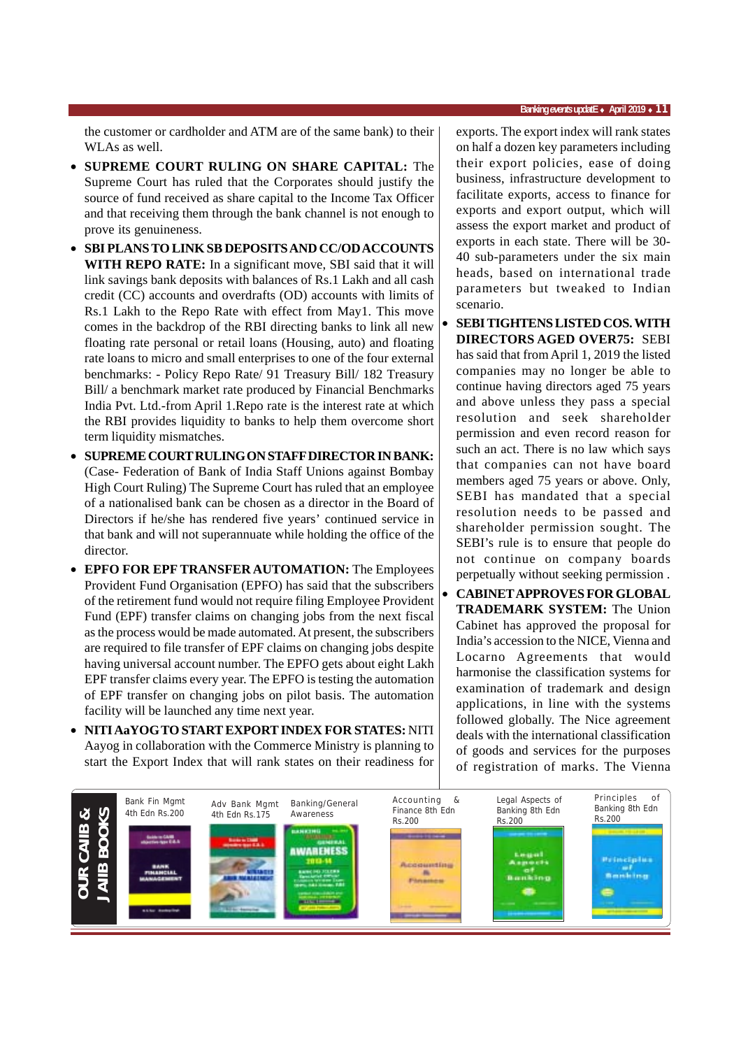the customer or cardholder and ATM are of the same bank) to their WLAs as well.

- **SUPREME COURT RULING ON SHARE CAPITAL:** The Supreme Court has ruled that the Corporates should justify the source of fund received as share capital to the Income Tax Officer and that receiving them through the bank channel is not enough to prove its genuineness.
- **SBI PLANS TO LINK SB DEPOSITS AND CC/OD ACCOUNTS WITH REPO RATE:** In a significant move, SBI said that it will link savings bank deposits with balances of Rs.1 Lakh and all cash credit (CC) accounts and overdrafts (OD) accounts with limits of Rs.1 Lakh to the Repo Rate with effect from May1. This move comes in the backdrop of the RBI directing banks to link all new floating rate personal or retail loans (Housing, auto) and floating rate loans to micro and small enterprises to one of the four external benchmarks: - Policy Repo Rate/ 91 Treasury Bill/ 182 Treasury Bill/ a benchmark market rate produced by Financial Benchmarks India Pvt. Ltd.-from April 1.Repo rate is the interest rate at which the RBI provides liquidity to banks to help them overcome short term liquidity mismatches.
- **SUPREME COURT RULING ON STAFF DIRECTOR IN BANK:** (Case- Federation of Bank of India Staff Unions against Bombay High Court Ruling) The Supreme Court has ruled that an employee of a nationalised bank can be chosen as a director in the Board of Directors if he/she has rendered five years' continued service in that bank and will not superannuate while holding the office of the director.
- **EPFO FOR EPF TRANSFER AUTOMATION:** The Employees Provident Fund Organisation (EPFO) has said that the subscribers of the retirement fund would not require filing Employee Provident Fund (EPF) transfer claims on changing jobs from the next fiscal as the process would be made automated. At present, the subscribers are required to file transfer of EPF claims on changing jobs despite having universal account number. The EPFO gets about eight Lakh EPF transfer claims every year. The EPFO is testing the automation of EPF transfer on changing jobs on pilot basis. The automation facility will be launched any time next year.
- **NITI AaYOG TO START EXPORT INDEX FOR STATES:** NITI Aayog in collaboration with the Commerce Ministry is planning to start the Export Index that will rank states on their readiness for

exports. The export index will rank states on half a dozen key parameters including their export policies, ease of doing business, infrastructure development to facilitate exports, access to finance for exports and export output, which will assess the export market and product of exports in each state. There will be 30- 40 sub-parameters under the six main heads, based on international trade parameters but tweaked to Indian scenario.

- **SEBI TIGHTENS LISTED COS. WITH DIRECTORS AGED OVER75:** SEBI has said that from April 1, 2019 the listed companies may no longer be able to continue having directors aged 75 years and above unless they pass a special resolution and seek shareholder permission and even record reason for such an act. There is no law which says that companies can not have board members aged 75 years or above. Only, SEBI has mandated that a special resolution needs to be passed and shareholder permission sought. The SEBI's rule is to ensure that people do not continue on company boards perpetually without seeking permission .
- **CABINET APPROVES FOR GLOBAL TRADEMARK SYSTEM:** The Union Cabinet has approved the proposal for India's accession to the NICE, Vienna and Locarno Agreements that would harmonise the classification systems for examination of trademark and design applications, in line with the systems followed globally. The Nice agreement deals with the international classification of goods and services for the purposes of registration of marks. The Vienna

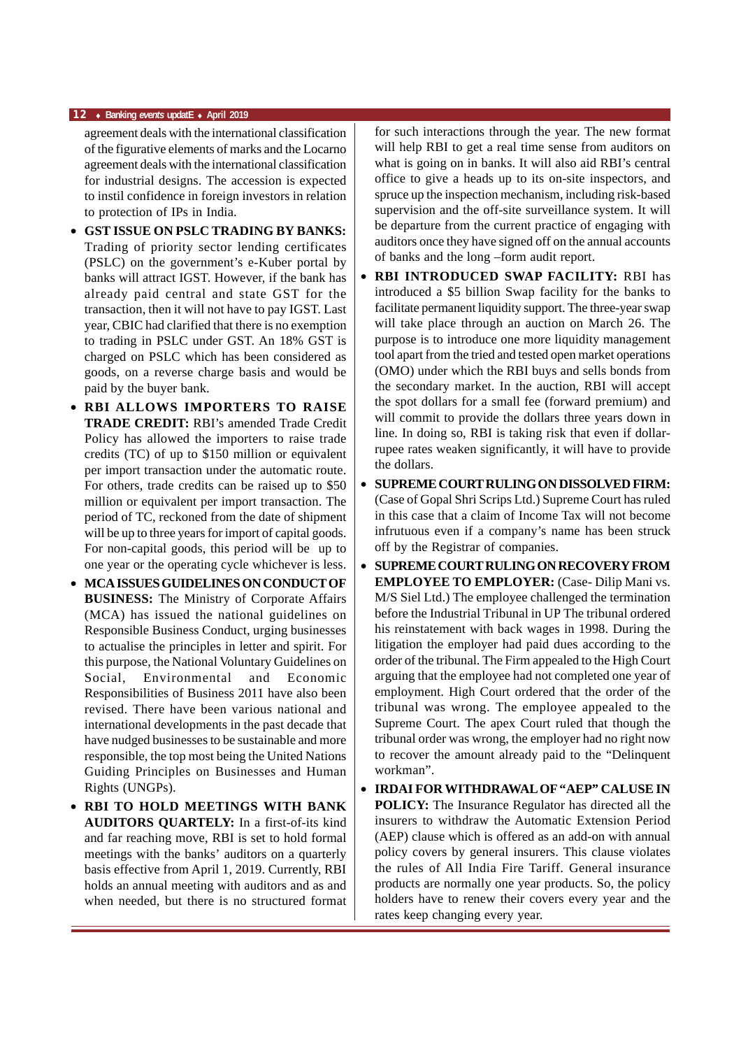#### **12** ♦ **Banking** *events* **updatE** ♦ **April 2019**

agreement deals with the international classification of the figurative elements of marks and the Locarno agreement deals with the international classification for industrial designs. The accession is expected to instil confidence in foreign investors in relation to protection of IPs in India.

- **GST ISSUE ON PSLC TRADING BY BANKS:** Trading of priority sector lending certificates (PSLC) on the government's e-Kuber portal by banks will attract IGST. However, if the bank has already paid central and state GST for the transaction, then it will not have to pay IGST. Last year, CBIC had clarified that there is no exemption to trading in PSLC under GST. An 18% GST is charged on PSLC which has been considered as goods, on a reverse charge basis and would be paid by the buyer bank.
- **RBI ALLOWS IMPORTERS TO RAISE TRADE CREDIT:** RBI's amended Trade Credit Policy has allowed the importers to raise trade credits (TC) of up to \$150 million or equivalent per import transaction under the automatic route. For others, trade credits can be raised up to \$50 million or equivalent per import transaction. The period of TC, reckoned from the date of shipment will be up to three years for import of capital goods. For non-capital goods, this period will be up to one year or the operating cycle whichever is less.
- **MCA ISSUES GUIDELINES ON CONDUCT OF BUSINESS:** The Ministry of Corporate Affairs (MCA) has issued the national guidelines on Responsible Business Conduct, urging businesses to actualise the principles in letter and spirit. For this purpose, the National Voluntary Guidelines on Social, Environmental and Economic Responsibilities of Business 2011 have also been revised. There have been various national and international developments in the past decade that have nudged businesses to be sustainable and more responsible, the top most being the United Nations Guiding Principles on Businesses and Human Rights (UNGPs).
- **RBI TO HOLD MEETINGS WITH BANK AUDITORS QUARTELY:** In a first-of-its kind and far reaching move, RBI is set to hold formal meetings with the banks' auditors on a quarterly basis effective from April 1, 2019. Currently, RBI holds an annual meeting with auditors and as and when needed, but there is no structured format

for such interactions through the year. The new format will help RBI to get a real time sense from auditors on what is going on in banks. It will also aid RBI's central office to give a heads up to its on-site inspectors, and spruce up the inspection mechanism, including risk-based supervision and the off-site surveillance system. It will be departure from the current practice of engaging with auditors once they have signed off on the annual accounts of banks and the long –form audit report.

- **RBI INTRODUCED SWAP FACILITY:** RBI has introduced a \$5 billion Swap facility for the banks to facilitate permanent liquidity support. The three-year swap will take place through an auction on March 26. The purpose is to introduce one more liquidity management tool apart from the tried and tested open market operations (OMO) under which the RBI buys and sells bonds from the secondary market. In the auction, RBI will accept the spot dollars for a small fee (forward premium) and will commit to provide the dollars three years down in line. In doing so, RBI is taking risk that even if dollarrupee rates weaken significantly, it will have to provide the dollars.
- **SUPREME COURT RULING ON DISSOLVED FIRM:** (Case of Gopal Shri Scrips Ltd.) Supreme Court has ruled in this case that a claim of Income Tax will not become infrutuous even if a company's name has been struck off by the Registrar of companies.
- **SUPREME COURT RULING ON RECOVERY FROM EMPLOYEE TO EMPLOYER:** (Case- Dilip Mani vs. M/S Siel Ltd.) The employee challenged the termination before the Industrial Tribunal in UP The tribunal ordered his reinstatement with back wages in 1998. During the litigation the employer had paid dues according to the order of the tribunal. The Firm appealed to the High Court arguing that the employee had not completed one year of employment. High Court ordered that the order of the tribunal was wrong. The employee appealed to the Supreme Court. The apex Court ruled that though the tribunal order was wrong, the employer had no right now to recover the amount already paid to the "Delinquent workman".
- **IRDAI FOR WITHDRAWAL OF "AEP" CALUSE IN POLICY:** The Insurance Regulator has directed all the insurers to withdraw the Automatic Extension Period (AEP) clause which is offered as an add-on with annual policy covers by general insurers. This clause violates the rules of All India Fire Tariff. General insurance products are normally one year products. So, the policy holders have to renew their covers every year and the rates keep changing every year.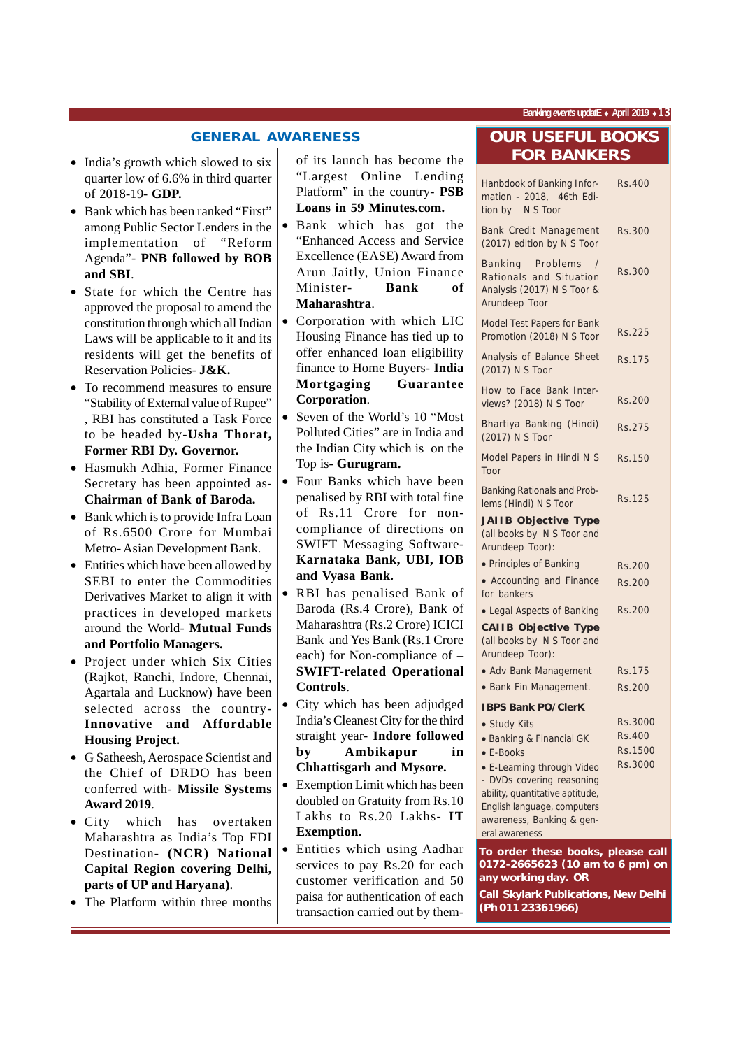#### **GENERAL AWARENESS**

- India's growth which slowed to six quarter low of 6.6% in third quarter of 2018-19- **GDP.**
- Bank which has been ranked "First" among Public Sector Lenders in the implementation of "Reform Agenda"- **PNB followed by BOB and SBI**.
- State for which the Centre has approved the proposal to amend the constitution through which all Indian Laws will be applicable to it and its residents will get the benefits of Reservation Policies- **J&K.**
- To recommend measures to ensure "Stability of External value of Rupee" , RBI has constituted a Task Force to be headed by-**Usha Thorat, Former RBI Dy. Governor.**
- Hasmukh Adhia, Former Finance Secretary has been appointed as-**Chairman of Bank of Baroda.**
- Bank which is to provide Infra Loan of Rs.6500 Crore for Mumbai Metro- Asian Development Bank.
- Entities which have been allowed by SEBI to enter the Commodities Derivatives Market to align it with practices in developed markets around the World- **Mutual Funds and Portfolio Managers.**
- Project under which Six Cities (Rajkot, Ranchi, Indore, Chennai, Agartala and Lucknow) have been selected across the country-**Innovative and Affordable Housing Project.**
- G Satheesh, Aerospace Scientist and the Chief of DRDO has been conferred with- **Missile Systems Award 2019**.
- City which has overtaken Maharashtra as India's Top FDI Destination- **(NCR) National Capital Region covering Delhi, parts of UP and Haryana)**.
- The Platform within three months

of its launch has become the "Largest Online Lending Platform" in the country- **PSB Loans in 59 Minutes.com.**

- Bank which has got the "Enhanced Access and Service Excellence (EASE) Award from Arun Jaitly, Union Finance Minister- **Bank of Maharashtra**.
- Corporation with which LIC Housing Finance has tied up to offer enhanced loan eligibility finance to Home Buyers- **India Mortgaging Guarantee Corporation**.
- Seven of the World's 10 "Most" Polluted Cities" are in India and the Indian City which is on the Top is- **Gurugram.**
- Four Banks which have been penalised by RBI with total fine of Rs.11 Crore for noncompliance of directions on SWIFT Messaging Software-**Karnataka Bank, UBI, IOB and Vyasa Bank.**
- RBI has penalised Bank of Baroda (Rs.4 Crore), Bank of Maharashtra (Rs.2 Crore) ICICI Bank and Yes Bank (Rs.1 Crore each) for Non-compliance of – **SWIFT-related Operational Controls**.
- City which has been adjudged India's Cleanest City for the third straight year- **Indore followed by Ambikapur in Chhattisgarh and Mysore.**
- Exemption Limit which has been doubled on Gratuity from Rs.10 Lakhs to Rs.20 Lakhs- **IT Exemption.**
- Entities which using Aadhar services to pay Rs.20 for each customer verification and 50 paisa for authentication of each transaction carried out by them-

## **OUR USEFUL BOOKS FOR BANKERS**

| Hanbdook of Banking Infor-<br>mation - 2018, 46th Edi-<br>tion by N S Toor                                  | <b>Rs.400</b> |
|-------------------------------------------------------------------------------------------------------------|---------------|
| Bank Credit Management<br>(2017) edition by N S Toor                                                        | Rs.300        |
| Problems<br>Banking<br>$\sqrt{ }$<br>Rationals and Situation<br>Analysis (2017) N S Toor &<br>Arundeep Toor | Rs.300        |
| Model Test Papers for Bank<br>Promotion (2018) N S Toor                                                     | Rs.225        |
| Analysis of Balance Sheet<br>(2017) N S Toor                                                                | Rs.175        |
| How to Face Bank Inter-<br>views? (2018) N S Toor                                                           | Rs.200        |
| Bhartiya Banking (Hindi)<br>(2017) N S Toor                                                                 | <b>Rs.275</b> |
| Model Papers in Hindi N S<br>Toor                                                                           | Rs.150        |
| <b>Banking Rationals and Prob-</b><br>lems (Hindi) N S Toor                                                 | <b>Rs.125</b> |
| <b>JAIIB Objective Type</b><br>(all books by N S Toor and<br>Arundeep Toor):                                |               |
| • Principles of Banking                                                                                     | Rs.200        |
| • Accounting and Finance<br>for bankers                                                                     | Rs.200        |
| • Legal Aspects of Banking                                                                                  | <b>Rs.200</b> |
| <b>CAIIB Objective Type</b><br>(all books by N S Toor and<br>Arundeep Toor):                                |               |
| • Adv Bank Management                                                                                       | Rs.175        |
| · Bank Fin Management.                                                                                      | Rs.200        |
| <b>IBPS Bank PO/ClerK</b>                                                                                   |               |
| • Study Kits                                                                                                | Rs.3000       |
| • Banking & Financial GK                                                                                    | Rs.400        |
| • E-Books                                                                                                   | Rs.1500       |
| • E-Learning through Video                                                                                  | Rs.3000       |
| - DVDs covering reasoning                                                                                   |               |
| ability, quantitative aptitude,                                                                             |               |
| English language, computers<br>awareness, Banking & gen-                                                    |               |
| eral awareness                                                                                              |               |
| To order these books, please call                                                                           |               |
| 0172-2665623 (10 am to 6 pm) on                                                                             |               |
| any working day. OR                                                                                         |               |

**Call Skylark Publications, New Delhi (Ph 011 23361966)**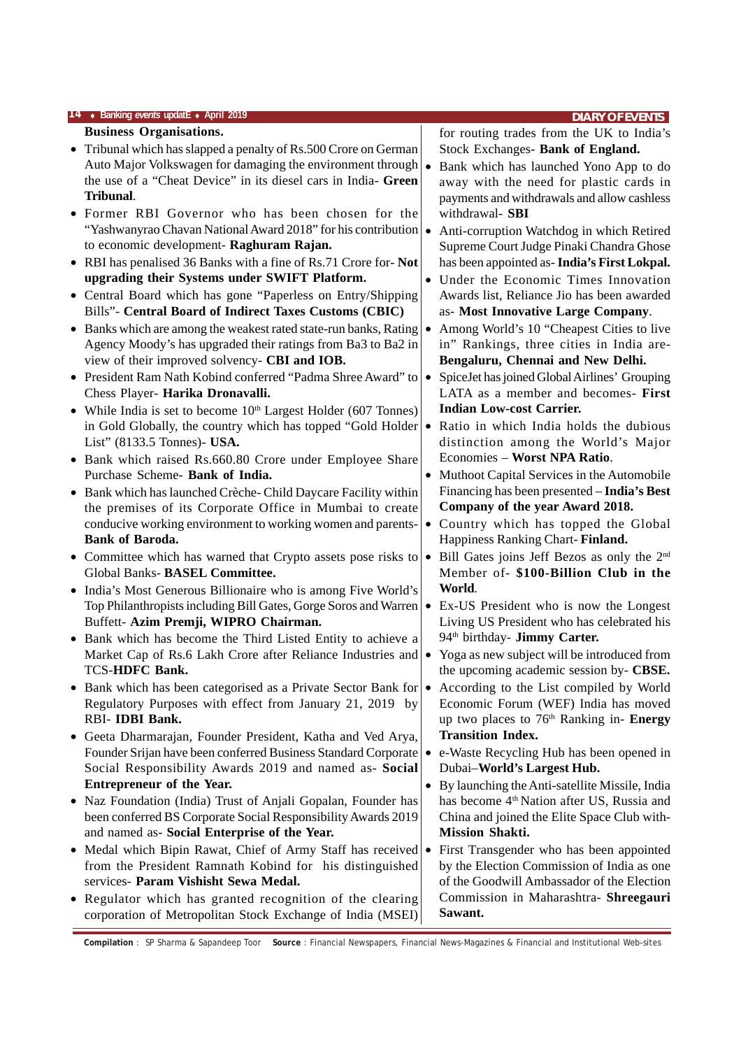| <b>Business Organisations.</b><br>for routing trades from the UK to India's<br>• Tribunal which has slapped a penalty of Rs.500 Crore on German<br>Stock Exchanges- Bank of England.<br>Auto Major Volkswagen for damaging the environment through<br>Bank which has launched Yono App to do<br>$\bullet$<br>the use of a "Cheat Device" in its diesel cars in India- Green<br>away with the need for plastic cards in<br>Tribunal.<br>payments and withdrawals and allow cashless |  |
|------------------------------------------------------------------------------------------------------------------------------------------------------------------------------------------------------------------------------------------------------------------------------------------------------------------------------------------------------------------------------------------------------------------------------------------------------------------------------------|--|
|                                                                                                                                                                                                                                                                                                                                                                                                                                                                                    |  |
|                                                                                                                                                                                                                                                                                                                                                                                                                                                                                    |  |
|                                                                                                                                                                                                                                                                                                                                                                                                                                                                                    |  |
|                                                                                                                                                                                                                                                                                                                                                                                                                                                                                    |  |
|                                                                                                                                                                                                                                                                                                                                                                                                                                                                                    |  |
| • Former RBI Governor who has been chosen for the<br>withdrawal- SBI                                                                                                                                                                                                                                                                                                                                                                                                               |  |
| "Yashwanyrao Chavan National Award 2018" for his contribution $\cdot$<br>Anti-corruption Watchdog in which Retired                                                                                                                                                                                                                                                                                                                                                                 |  |
| to economic development- Raghuram Rajan.<br>Supreme Court Judge Pinaki Chandra Ghose                                                                                                                                                                                                                                                                                                                                                                                               |  |
| • RBI has penalised 36 Banks with a fine of Rs.71 Crore for-Not<br>has been appointed as-India's First Lokpal.                                                                                                                                                                                                                                                                                                                                                                     |  |
| upgrading their Systems under SWIFT Platform.<br>• Under the Economic Times Innovation                                                                                                                                                                                                                                                                                                                                                                                             |  |
| • Central Board which has gone "Paperless on Entry/Shipping<br>Awards list, Reliance Jio has been awarded                                                                                                                                                                                                                                                                                                                                                                          |  |
| Bills"- Central Board of Indirect Taxes Customs (CBIC)<br>as- Most Innovative Large Company.                                                                                                                                                                                                                                                                                                                                                                                       |  |
| • Banks which are among the weakest rated state-run banks, Rating<br>Among World's 10 "Cheapest Cities to live<br>$\bullet$                                                                                                                                                                                                                                                                                                                                                        |  |
| Agency Moody's has upgraded their ratings from Ba3 to Ba2 in<br>in" Rankings, three cities in India are-                                                                                                                                                                                                                                                                                                                                                                           |  |
| view of their improved solvency- CBI and IOB.<br>Bengaluru, Chennai and New Delhi.                                                                                                                                                                                                                                                                                                                                                                                                 |  |
| • President Ram Nath Kobind conferred "Padma Shree Award" to<br>SpiceJet has joined Global Airlines' Grouping<br>$\bullet$<br>LATA as a member and becomes- First                                                                                                                                                                                                                                                                                                                  |  |
| Chess Player- Harika Dronavalli.<br><b>Indian Low-cost Carrier.</b><br>• While India is set to become $10th$ Largest Holder (607 Tonnes)                                                                                                                                                                                                                                                                                                                                           |  |
| in Gold Globally, the country which has topped "Gold Holder<br>Ratio in which India holds the dubious<br>$\bullet$                                                                                                                                                                                                                                                                                                                                                                 |  |
| List" (8133.5 Tonnes)- USA.<br>distinction among the World's Major                                                                                                                                                                                                                                                                                                                                                                                                                 |  |
| Economies - Worst NPA Ratio.<br>• Bank which raised Rs.660.80 Crore under Employee Share                                                                                                                                                                                                                                                                                                                                                                                           |  |
| Purchase Scheme- Bank of India.<br>Muthoot Capital Services in the Automobile<br>$\bullet$                                                                                                                                                                                                                                                                                                                                                                                         |  |
| Financing has been presented - India's Best<br>• Bank which has launched Crèche-Child Daycare Facility within                                                                                                                                                                                                                                                                                                                                                                      |  |
| Company of the year Award 2018.<br>the premises of its Corporate Office in Mumbai to create                                                                                                                                                                                                                                                                                                                                                                                        |  |
| conducive working environment to working women and parents-<br>• Country which has topped the Global                                                                                                                                                                                                                                                                                                                                                                               |  |
| <b>Bank of Baroda.</b><br>Happiness Ranking Chart-Finland.                                                                                                                                                                                                                                                                                                                                                                                                                         |  |
| Bill Gates joins Jeff Bezos as only the 2 <sup>nd</sup><br>• Committee which has warned that Crypto assets pose risks to<br>$\bullet$                                                                                                                                                                                                                                                                                                                                              |  |
| Global Banks- BASEL Committee.<br>Member of- \$100-Billion Club in the                                                                                                                                                                                                                                                                                                                                                                                                             |  |
| World.<br>• India's Most Generous Billionaire who is among Five World's                                                                                                                                                                                                                                                                                                                                                                                                            |  |
| Top Philanthropists including Bill Gates, Gorge Soros and Warren<br>Ex-US President who is now the Longest<br>$\bullet$                                                                                                                                                                                                                                                                                                                                                            |  |
| Buffett- Azim Premji, WIPRO Chairman.<br>Living US President who has celebrated his                                                                                                                                                                                                                                                                                                                                                                                                |  |
| 94 <sup>th</sup> birthday- Jimmy Carter.<br>• Bank which has become the Third Listed Entity to achieve a                                                                                                                                                                                                                                                                                                                                                                           |  |
| Yoga as new subject will be introduced from<br>Market Cap of Rs.6 Lakh Crore after Reliance Industries and<br>$\bullet$                                                                                                                                                                                                                                                                                                                                                            |  |
| <b>TCS-HDFC Bank.</b><br>the upcoming academic session by- CBSE.                                                                                                                                                                                                                                                                                                                                                                                                                   |  |
| According to the List compiled by World<br>Bank which has been categorised as a Private Sector Bank for<br>$\bullet$<br>٠                                                                                                                                                                                                                                                                                                                                                          |  |
| Economic Forum (WEF) India has moved<br>Regulatory Purposes with effect from January 21, 2019 by<br>RBI-IDBI Bank.<br>up two places to 76 <sup>th</sup> Ranking in- Energy                                                                                                                                                                                                                                                                                                         |  |
| <b>Transition Index.</b><br>Geeta Dharmarajan, Founder President, Katha and Ved Arya,<br>٠                                                                                                                                                                                                                                                                                                                                                                                         |  |
| Founder Srijan have been conferred Business Standard Corporate<br>e-Waste Recycling Hub has been opened in<br>$\bullet$                                                                                                                                                                                                                                                                                                                                                            |  |
| Social Responsibility Awards 2019 and named as- Social<br>Dubai-World's Largest Hub.                                                                                                                                                                                                                                                                                                                                                                                               |  |
| Entrepreneur of the Year.<br>• By launching the Anti-satellite Missile, India                                                                                                                                                                                                                                                                                                                                                                                                      |  |
| has become 4 <sup>th</sup> Nation after US, Russia and<br>• Naz Foundation (India) Trust of Anjali Gopalan, Founder has                                                                                                                                                                                                                                                                                                                                                            |  |
| been conferred BS Corporate Social Responsibility Awards 2019<br>China and joined the Elite Space Club with-                                                                                                                                                                                                                                                                                                                                                                       |  |
| and named as- Social Enterprise of the Year.<br><b>Mission Shakti.</b>                                                                                                                                                                                                                                                                                                                                                                                                             |  |
| • Medal which Bipin Rawat, Chief of Army Staff has received .<br>First Transgender who has been appointed                                                                                                                                                                                                                                                                                                                                                                          |  |
| from the President Ramnath Kobind for his distinguished<br>by the Election Commission of India as one                                                                                                                                                                                                                                                                                                                                                                              |  |
| of the Goodwill Ambassador of the Election<br>services- Param Vishisht Sewa Medal.                                                                                                                                                                                                                                                                                                                                                                                                 |  |
| Commission in Maharashtra- Shreegauri<br>• Regulator which has granted recognition of the clearing                                                                                                                                                                                                                                                                                                                                                                                 |  |
| Sawant.<br>corporation of Metropolitan Stock Exchange of India (MSEI)                                                                                                                                                                                                                                                                                                                                                                                                              |  |

**Compilation** : SP Sharma & Sapandeep Toor **Source** : Financial Newspapers, Financial News-Magazines & Financial and Institutional Web-sites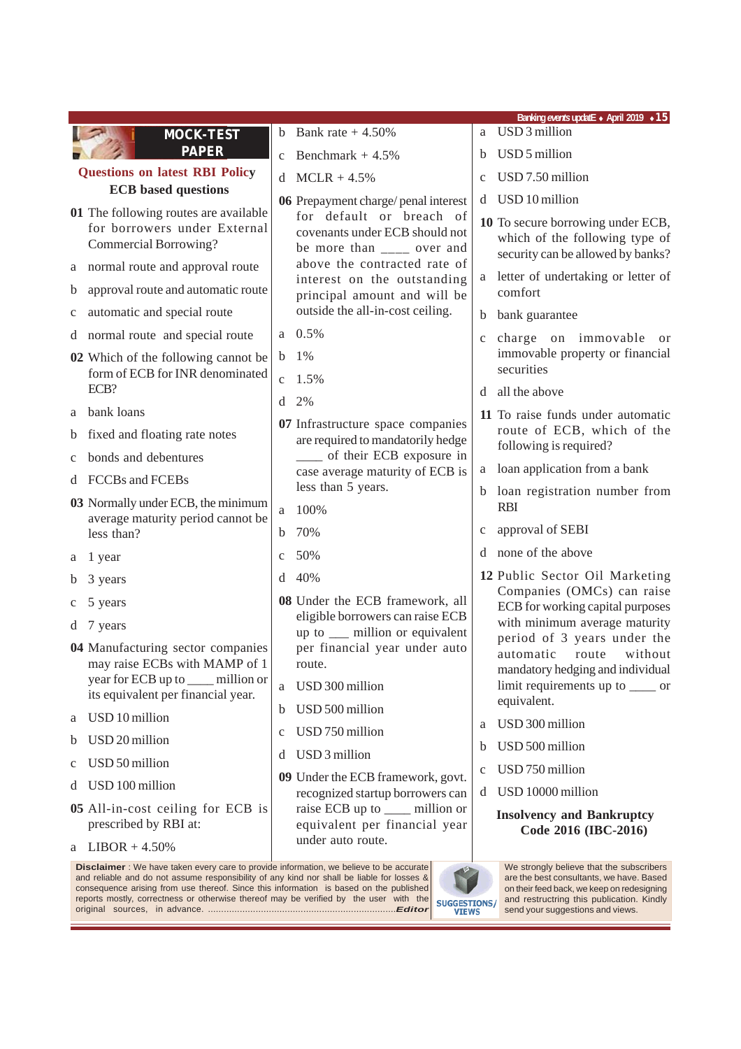|                                                                                                |                                                                                                                                                   | Banking events updatE • April 2019 • 15                                                                  |
|------------------------------------------------------------------------------------------------|---------------------------------------------------------------------------------------------------------------------------------------------------|----------------------------------------------------------------------------------------------------------|
| <b>MOCK-TEST</b>                                                                               | b Bank rate $+4.50\%$                                                                                                                             | a USD 3 million                                                                                          |
| <b>PAPER</b>                                                                                   | Benchmark $+4.5%$<br>$\mathbf{C}$                                                                                                                 | USD 5 million<br>h                                                                                       |
| <b>Questions on latest RBI Policy</b>                                                          | $MCLR + 4.5\%$<br>d                                                                                                                               | USD 7.50 million<br>$\mathbf{C}$                                                                         |
| <b>ECB</b> based questions                                                                     | 06 Prepayment charge/penal interest                                                                                                               | USD 10 million<br>d                                                                                      |
| 01 The following routes are available<br>for borrowers under External<br>Commercial Borrowing? | for default or breach of<br>covenants under ECB should not<br>be more than $\frac{ }{ }$ = $\frac{ }{ }$ over and<br>above the contracted rate of | 10 To secure borrowing under ECB,<br>which of the following type of<br>security can be allowed by banks? |
| normal route and approval route<br>a                                                           | interest on the outstanding                                                                                                                       | letter of undertaking or letter of                                                                       |
| approval route and automatic route<br>b                                                        | principal amount and will be                                                                                                                      | comfort                                                                                                  |
| automatic and special route<br>C                                                               | outside the all-in-cost ceiling.                                                                                                                  | bank guarantee<br>b.                                                                                     |
| d normal route and special route                                                               | 0.5%<br>a                                                                                                                                         | charge on immovable<br><sub>or</sub><br>$\mathbf{C}$                                                     |
| 02 Which of the following cannot be<br>form of ECB for INR denominated                         | $1\%$<br>b                                                                                                                                        | immovable property or financial<br>securities                                                            |
| ECB?                                                                                           | 1.5%<br>$\mathbf{C}$                                                                                                                              | all the above<br><sub>d</sub>                                                                            |
| bank loans<br>a                                                                                | 2%<br>d                                                                                                                                           | 11 To raise funds under automatic                                                                        |
| fixed and floating rate notes<br>b                                                             | 07 Infrastructure space companies<br>are required to mandatorily hedge                                                                            | route of ECB, which of the                                                                               |
| bonds and debentures<br>$\mathbf{C}$                                                           | of their ECB exposure in                                                                                                                          | following is required?                                                                                   |
| d FCCBs and FCEBs                                                                              | case average maturity of ECB is<br>less than 5 years.                                                                                             | loan application from a bank<br>a                                                                        |
| 03 Normally under ECB, the minimum                                                             | 100%<br>a                                                                                                                                         | loan registration number from<br><b>RBI</b>                                                              |
| average maturity period cannot be<br>less than?                                                | 70%<br>$\mathbf b$                                                                                                                                | approval of SEBI<br>c                                                                                    |
|                                                                                                | 50%<br>$\mathbf{C}$                                                                                                                               | none of the above                                                                                        |
| 1 year<br>a                                                                                    | 40%<br>d                                                                                                                                          | 12 Public Sector Oil Marketing                                                                           |
| 3 years<br>b                                                                                   |                                                                                                                                                   | Companies (OMCs) can raise                                                                               |
| 5 years<br>C                                                                                   | 08 Under the ECB framework, all<br>eligible borrowers can raise ECB                                                                               | ECB for working capital purposes                                                                         |
| d 7 years                                                                                      | up to __ million or equivalent                                                                                                                    | with minimum average maturity<br>period of 3 years under the                                             |
| 04 Manufacturing sector companies<br>may raise ECBs with MAMP of 1                             | per financial year under auto<br>route.                                                                                                           | automatic<br>route<br>without                                                                            |
| year for ECB up to ____ million or                                                             | USD 300 million<br>a                                                                                                                              | mandatory hedging and individual<br>limit requirements up to _____ or                                    |
| its equivalent per financial year.                                                             | USD 500 million                                                                                                                                   | equivalent.                                                                                              |
| USD 10 million<br>a                                                                            | b                                                                                                                                                 | USD 300 million<br>a                                                                                     |
| USD 20 million<br>b                                                                            | USD 750 million<br>$\mathbf c$                                                                                                                    | USD 500 million<br>b                                                                                     |
| USD 50 million<br>C                                                                            | USD 3 million<br>d                                                                                                                                | USD 750 million<br>c                                                                                     |
| USD 100 million<br>d                                                                           | 09 Under the ECB framework, govt.<br>recognized startup borrowers can                                                                             | USD 10000 million<br>d                                                                                   |
| 05 All-in-cost ceiling for ECB is<br>prescribed by RBI at:                                     | raise ECB up to ____ million or<br>equivalent per financial year                                                                                  | <b>Insolvency and Bankruptcy</b><br>Code 2016 (IBC-2016)                                                 |
| $LIBOR + 4.50\%$<br>а                                                                          | under auto route.                                                                                                                                 |                                                                                                          |
| <b>Disclaimer</b> : We have taken every care to provide information, we believe to be accurate | $\triangle$                                                                                                                                       | We strongly believe that the subscribers                                                                 |

and reliable and do not assume responsibility of any kind nor shall be liable for losses & consequence arising from use thereof. Since this information is based on the published reports mostly, correctness or otherwise thereof may be verified by the user with the original sources, in advance. .......................................................................*Editor*



are the best consultants, we have. Based on their feed back, we keep on redesigning and restructring this publication. Kindly send your suggestions and views.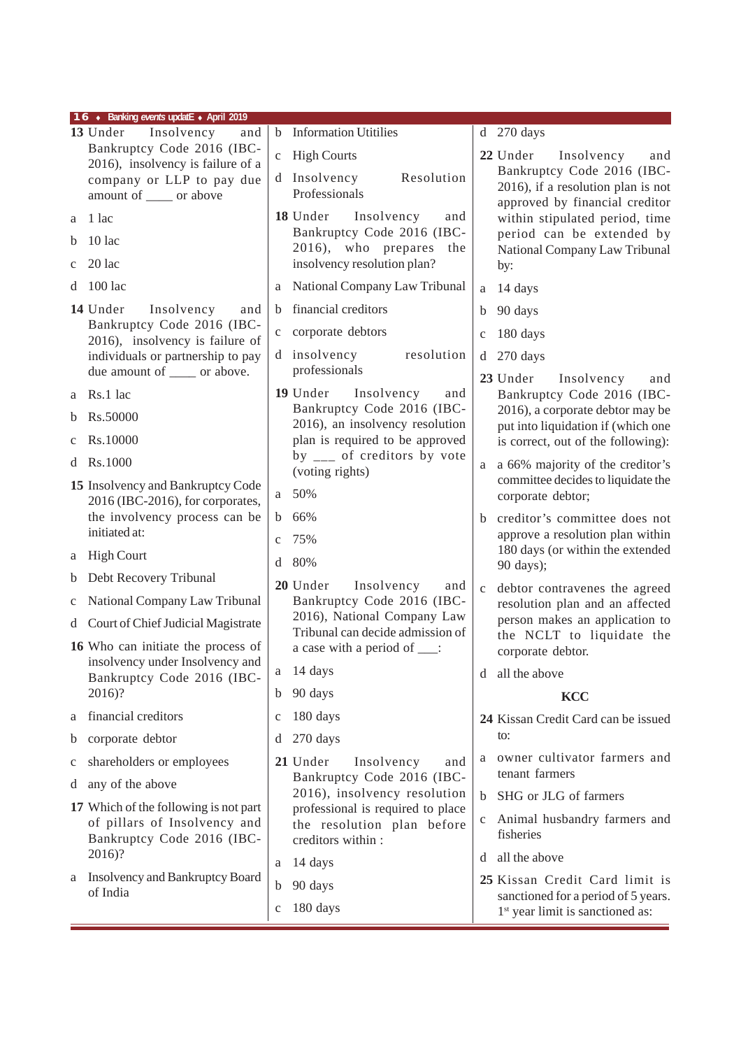| 16 • Banking events updatE • April 2019                               |                                                                 |                                                                        |  |  |  |  |
|-----------------------------------------------------------------------|-----------------------------------------------------------------|------------------------------------------------------------------------|--|--|--|--|
| 13 Under<br>Insolvency<br>and                                         | <b>Information Utitilies</b><br>$\mathbf b$                     | $d$ 270 days                                                           |  |  |  |  |
| Bankruptcy Code 2016 (IBC-<br>2016), insolvency is failure of a       | <b>High Courts</b><br>$\mathbf{C}$                              | 22 Under<br>Insolvency<br>and                                          |  |  |  |  |
| company or LLP to pay due                                             | d Insolvency<br>Resolution                                      | Bankruptcy Code 2016 (IBC-<br>2016), if a resolution plan is not       |  |  |  |  |
| amount of _____ or above                                              | Professionals                                                   | approved by financial creditor                                         |  |  |  |  |
| 1 lac<br>a                                                            | 18 Under Insolvency<br>and<br>Bankruptcy Code 2016 (IBC-        | within stipulated period, time<br>period can be extended by            |  |  |  |  |
| $10$ lac<br>b                                                         | 2016), who prepares<br>the                                      | National Company Law Tribunal                                          |  |  |  |  |
| $20$ lac<br>$\mathbf{C}$                                              | insolvency resolution plan?                                     | by:                                                                    |  |  |  |  |
| $100$ lac<br>d                                                        | National Company Law Tribunal<br>a                              | 14 days<br>a                                                           |  |  |  |  |
| 14 Under<br>Insolvency<br>and                                         | financial creditors<br>b.                                       | 90 days<br>$\mathbf b$                                                 |  |  |  |  |
| Bankruptcy Code 2016 (IBC-<br>2016), insolvency is failure of         | corporate debtors<br>$\mathbf{C}$                               | 180 days<br>$\mathbf{C}$                                               |  |  |  |  |
| individuals or partnership to pay                                     | d insolvency<br>resolution                                      | 270 days<br>d                                                          |  |  |  |  |
| due amount of _____ or above.                                         | professionals                                                   | 23 Under<br>Insolvency<br>and                                          |  |  |  |  |
| Rs.1 lac<br>a                                                         | 19 Under<br>Insolvency<br>and<br>Bankruptcy Code 2016 (IBC-     | Bankruptcy Code 2016 (IBC-                                             |  |  |  |  |
| Rs.50000<br>b                                                         | 2016), an insolvency resolution                                 | 2016), a corporate debtor may be<br>put into liquidation if (which one |  |  |  |  |
| Rs.10000<br>$\mathbf c$                                               | plan is required to be approved                                 | is correct, out of the following):                                     |  |  |  |  |
| Rs.1000<br>d                                                          | by $\frac{1}{2}$ of creditors by vote<br>(voting rights)        | a 66% majority of the creditor's<br>a                                  |  |  |  |  |
| 15 Insolvency and Bankruptcy Code<br>2016 (IBC-2016), for corporates, | 50%<br>a                                                        | committee decides to liquidate the<br>corporate debtor;                |  |  |  |  |
| the involvency process can be                                         | 66%<br>b                                                        | creditor's committee does not<br>b                                     |  |  |  |  |
| initiated at:                                                         | 75%<br>$\mathbf{C}$                                             | approve a resolution plan within                                       |  |  |  |  |
| <b>High Court</b><br>a                                                | 80%<br>d                                                        | 180 days (or within the extended<br>90 days);                          |  |  |  |  |
| Debt Recovery Tribunal<br>b                                           | 20 Under<br>Insolvency<br>and                                   | debtor contravenes the agreed<br>$\mathbf c$                           |  |  |  |  |
| National Company Law Tribunal<br>$\mathbf c$                          | Bankruptcy Code 2016 (IBC-                                      | resolution plan and an affected                                        |  |  |  |  |
| d Court of Chief Judicial Magistrate                                  | 2016), National Company Law<br>Tribunal can decide admission of | person makes an application to<br>the NCLT to liquidate the            |  |  |  |  |
| 16 Who can initiate the process of                                    | a case with a period of ____:                                   | corporate debtor.                                                      |  |  |  |  |
| insolvency under Insolvency and<br>Bankruptcy Code 2016 (IBC-         | 14 days<br>$\mathbf{a}$                                         | all the above<br>d                                                     |  |  |  |  |
| 2016)?                                                                | 90 days<br>b                                                    | <b>KCC</b>                                                             |  |  |  |  |
| financial creditors<br>a                                              | 180 days<br>c                                                   | 24 Kissan Credit Card can be issued                                    |  |  |  |  |
| corporate debtor<br>b                                                 | 270 days<br>d                                                   | to:                                                                    |  |  |  |  |
| shareholders or employees<br>c                                        | 21 Under<br>Insolvency<br>and<br>Bankruptcy Code 2016 (IBC-     | owner cultivator farmers and<br>a<br>tenant farmers                    |  |  |  |  |
| any of the above<br>d                                                 | 2016), insolvency resolution                                    | SHG or JLG of farmers<br>$\mathbf b$                                   |  |  |  |  |
| 17 Which of the following is not part                                 | professional is required to place                               | Animal husbandry farmers and<br>$\mathbf{C}$                           |  |  |  |  |
| of pillars of Insolvency and<br>Bankruptcy Code 2016 (IBC-            | the resolution plan before<br>creditors within :                | fisheries                                                              |  |  |  |  |
| 2016)?                                                                | 14 days<br>a                                                    | all the above<br>d                                                     |  |  |  |  |
| <b>Insolvency and Bankruptcy Board</b><br>a                           | 90 days<br>b                                                    | 25 Kissan Credit Card limit is                                         |  |  |  |  |
| of India                                                              |                                                                 | sanctioned for a period of 5 years.                                    |  |  |  |  |
|                                                                       | 180 days<br>$\mathbf C$                                         | 1 <sup>st</sup> year limit is sanctioned as:                           |  |  |  |  |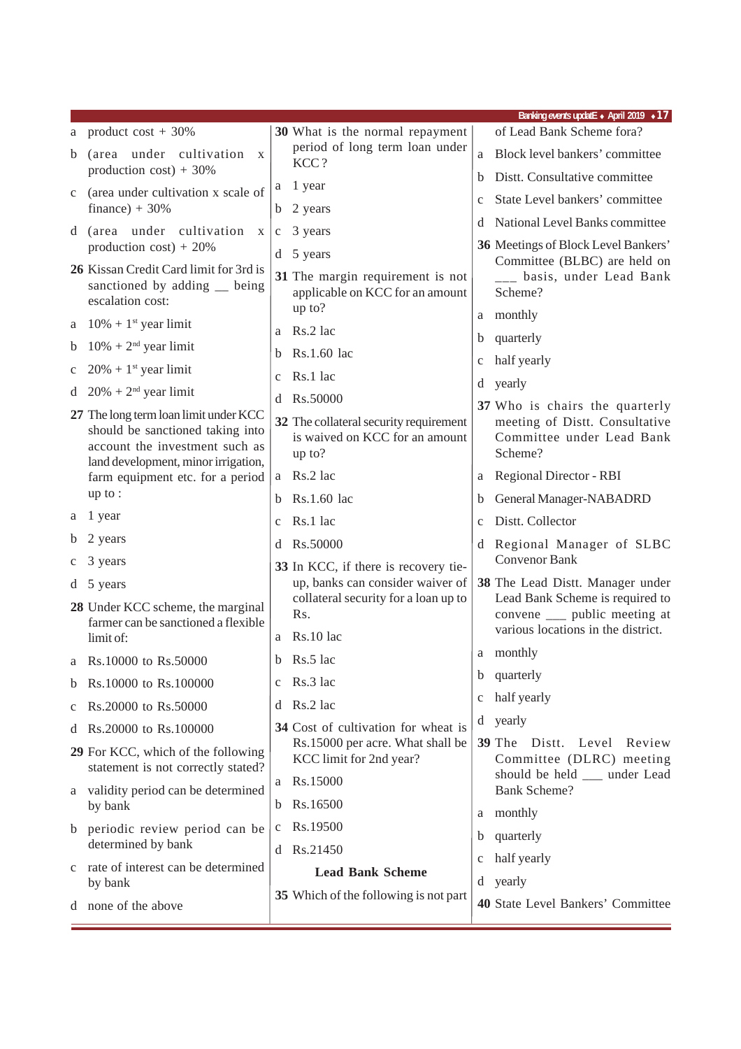|              |                                                                                                           |                                                                                    |              | Banking events updatE • April 2019 • 17                                                                 |
|--------------|-----------------------------------------------------------------------------------------------------------|------------------------------------------------------------------------------------|--------------|---------------------------------------------------------------------------------------------------------|
|              | a product $cost + 30\%$                                                                                   | 30 What is the normal repayment                                                    |              | of Lead Bank Scheme fora?                                                                               |
| b            | (area under cultivation<br>$\mathbf{X}$<br>production cost) + $30\%$                                      | period of long term loan under<br>KCC?                                             |              | Block level bankers' committee                                                                          |
|              |                                                                                                           | 1 year<br>a                                                                        | b.           | Distt. Consultative committee                                                                           |
| $\mathbf{c}$ | (area under cultivation x scale of<br>finance) + $30\%$                                                   | 2 years<br>b                                                                       | $\mathbf{C}$ | State Level bankers' committee                                                                          |
|              | d (area under cultivation x                                                                               | 3 years<br>$\mathbf{C}$                                                            | đ            | National Level Banks committee                                                                          |
|              | production cost) + $20\%$                                                                                 | $d \quad 5 \text{ years}$                                                          |              | 36 Meetings of Block Level Bankers'                                                                     |
|              | 26 Kissan Credit Card limit for 3rd is<br>sanctioned by adding _ being<br>escalation cost:                | 31 The margin requirement is not<br>applicable on KCC for an amount<br>up to?      |              | Committee (BLBC) are held on<br>___ basis, under Lead Bank<br>Scheme?                                   |
| a            | $10\% + 1$ <sup>st</sup> year limit                                                                       | Rs.2 lac                                                                           |              | a monthly                                                                                               |
| b            | $10\% + 2^{\text{nd}}$ year limit                                                                         | a                                                                                  | b            | quarterly                                                                                               |
| c            | $20\% + 1$ <sup>st</sup> year limit                                                                       | Rs.1.60 lac<br>b                                                                   | $\mathbf c$  | half yearly                                                                                             |
| d            | $20\% + 2^{nd}$ year limit                                                                                | Rs.1 lac<br>$\mathbf c$                                                            | d            | yearly                                                                                                  |
|              | 27 The long term loan limit under KCC                                                                     | Rs.50000<br>d                                                                      |              | 37 Who is chairs the quarterly                                                                          |
|              | should be sanctioned taking into<br>account the investment such as<br>land development, minor irrigation, | 32 The collateral security requirement<br>is waived on KCC for an amount<br>up to? |              | meeting of Distt. Consultative<br>Committee under Lead Bank<br>Scheme?                                  |
|              | farm equipment etc. for a period                                                                          | a Rs.2 lac                                                                         | a            | <b>Regional Director - RBI</b>                                                                          |
|              | up to:                                                                                                    | Rs.1.60 lac<br>b                                                                   | b            | General Manager-NABADRD                                                                                 |
| a            | 1 year                                                                                                    | Rs.1 lac<br>$\mathbf{C}$                                                           | $\mathbf{C}$ | Distt. Collector                                                                                        |
| b            | 2 years                                                                                                   | d Rs.50000                                                                         |              | d Regional Manager of SLBC                                                                              |
| c            | 3 years                                                                                                   | 33 In KCC, if there is recovery tie-                                               |              | <b>Convenor Bank</b>                                                                                    |
|              | d 5 years                                                                                                 | up, banks can consider waiver of                                                   |              | 38 The Lead Distt. Manager under                                                                        |
|              | 28 Under KCC scheme, the marginal<br>farmer can be sanctioned a flexible                                  | collateral security for a loan up to<br>Rs.                                        |              | Lead Bank Scheme is required to<br>convene ____ public meeting at<br>various locations in the district. |
|              | limit of:                                                                                                 | a Rs.10 lac                                                                        |              | a monthly                                                                                               |
|              | a Rs.10000 to Rs.50000                                                                                    | b Rs.5 lac                                                                         |              | b quarterly                                                                                             |
| b            | Rs.10000 to Rs.100000                                                                                     | Rs.3 lac<br>$\mathbf{C}$                                                           |              | half yearly                                                                                             |
| c            | Rs.20000 to Rs.50000                                                                                      | Rs.2 lac<br>d                                                                      | $\mathbf c$  |                                                                                                         |
| đ            | Rs.20000 to Rs.100000                                                                                     | 34 Cost of cultivation for wheat is                                                | d            | yearly                                                                                                  |
|              | 29 For KCC, which of the following<br>statement is not correctly stated?                                  | Rs.15000 per acre. What shall be<br>KCC limit for 2nd year?                        |              | <b>39 The Distt. Level</b><br>Review<br>Committee (DLRC) meeting<br>should be held ___ under Lead       |
|              | a validity period can be determined                                                                       | Rs.15000<br>a                                                                      |              | <b>Bank Scheme?</b>                                                                                     |
|              | by bank                                                                                                   | Rs.16500<br>b                                                                      | a            | monthly                                                                                                 |
| b            | periodic review period can be                                                                             | Rs.19500<br>c                                                                      | b            | quarterly                                                                                               |
|              | determined by bank                                                                                        | Rs.21450<br>d                                                                      | $\mathbf c$  | half yearly                                                                                             |
| $\mathbf{c}$ | rate of interest can be determined<br>by bank                                                             | <b>Lead Bank Scheme</b>                                                            | d            | yearly                                                                                                  |
|              | d none of the above                                                                                       | 35 Which of the following is not part                                              |              | 40 State Level Bankers' Committee                                                                       |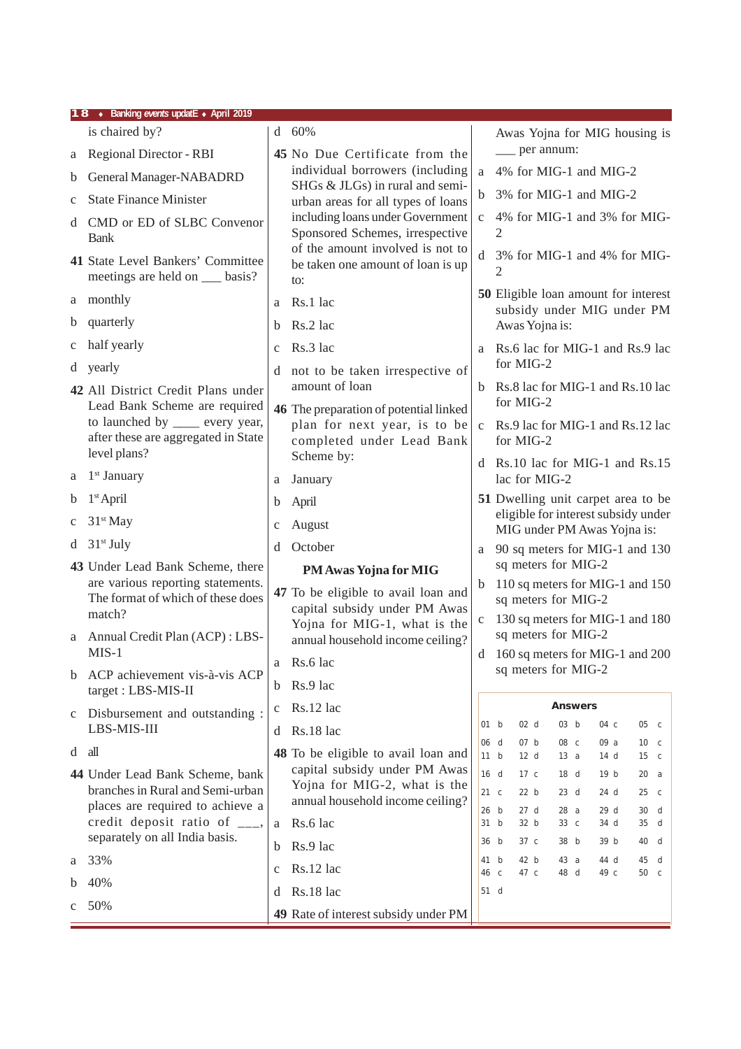|             | 18 • Banking events updatE • April 2019                                                  |              |                                                                              |               |                                                                                                            |  |
|-------------|------------------------------------------------------------------------------------------|--------------|------------------------------------------------------------------------------|---------------|------------------------------------------------------------------------------------------------------------|--|
|             | is chaired by?                                                                           |              | $d$ 60%                                                                      |               | Awas Yojna for MIG housing is                                                                              |  |
| а           | Regional Director - RBI                                                                  |              | 45 No Due Certificate from the                                               |               | __ per annum:                                                                                              |  |
| b           | General Manager-NABADRD                                                                  |              | individual borrowers (including<br>SHGs & JLGs) in rural and semi-           | a             | 4% for MIG-1 and MIG-2                                                                                     |  |
| $\mathbf c$ | <b>State Finance Minister</b>                                                            |              | urban areas for all types of loans                                           | $\mathbf b$   | 3% for MIG-1 and MIG-2                                                                                     |  |
|             | d CMD or ED of SLBC Convenor<br><b>Bank</b>                                              |              | including loans under Government<br>Sponsored Schemes, irrespective          | $\mathbf{C}$  | 4% for MIG-1 and 3% for MIG-<br>2                                                                          |  |
|             | 41 State Level Bankers' Committee<br>meetings are held on ___ basis?                     |              | of the amount involved is not to<br>be taken one amount of loan is up<br>to: | d             | 3% for MIG-1 and 4% for MIG-<br>$\overline{2}$                                                             |  |
| a           | monthly                                                                                  | a            | Rs.1 lac                                                                     |               | 50 Eligible loan amount for interest<br>subsidy under MIG under PM                                         |  |
| b           | quarterly                                                                                | b.           | Rs.2 lac                                                                     |               | Awas Yojna is:                                                                                             |  |
| c           | half yearly                                                                              | $\mathbf{C}$ | Rs.3 lac                                                                     |               | a Rs.6 lac for MIG-1 and Rs.9 lac                                                                          |  |
| d           | yearly                                                                                   | d            | not to be taken irrespective of                                              |               | for MIG-2                                                                                                  |  |
|             | 42 All District Credit Plans under<br>Lead Bank Scheme are required                      |              | amount of loan<br>46 The preparation of potential linked                     |               | b Rs.8 lac for MIG-1 and Rs.10 lac<br>for MIG-2                                                            |  |
|             | to launched by ______ every year,<br>after these are aggregated in State<br>level plans? |              | plan for next year, is to be<br>completed under Lead Bank<br>Scheme by:      | $\mathbf{C}$  | Rs.9 lac for MIG-1 and Rs.12 lac<br>for MIG-2                                                              |  |
| a           | $1st$ January                                                                            | a            | January                                                                      |               | d Rs.10 lac for MIG-1 and Rs.15<br>lac for MIG-2                                                           |  |
| b           | $1st$ April                                                                              |              |                                                                              |               | 51 Dwelling unit carpet area to be                                                                         |  |
| c           | $31st$ May                                                                               | b            | April                                                                        |               | eligible for interest subsidy under                                                                        |  |
|             | $31st$ July                                                                              | $\mathbf c$  | August                                                                       |               | MIG under PM Awas Yojna is:                                                                                |  |
| d           |                                                                                          | d            | October                                                                      | a             | 90 sq meters for MIG-1 and 130<br>sq meters for MIG-2                                                      |  |
|             | 43 Under Lead Bank Scheme, there<br>are various reporting statements.                    |              | PM Awas Yojna for MIG                                                        | $\mathfrak b$ | 110 sq meters for MIG-1 and 150                                                                            |  |
|             | The format of which of these does                                                        |              | 47 To be eligible to avail loan and<br>capital subsidy under PM Awas         |               | sq meters for MIG-2                                                                                        |  |
|             | match?                                                                                   |              | Yojna for MIG-1, what is the                                                 | $\mathbf c$   | 130 sq meters for MIG-1 and 180                                                                            |  |
| a           | Annual Credit Plan (ACP): LBS-<br>$MIS-1$                                                |              | annual household income ceiling?                                             |               | sq meters for MIG-2                                                                                        |  |
| b           | ACP achievement vis-à-vis ACP                                                            |              | a $\,$ Rs.6 lac                                                              | d             | 160 sq meters for MIG-1 and 200<br>sq meters for MIG-2                                                     |  |
|             | target: LBS-MIS-II                                                                       | b.           | Rs.9 lac                                                                     |               |                                                                                                            |  |
| c           | Disbursement and outstanding :                                                           | c            | Rs.12 lac                                                                    |               | <b>Answers</b>                                                                                             |  |
|             | LBS-MIS-III                                                                              | d            | Rs.18 lac                                                                    |               | 02 d<br>03 <sub>b</sub><br>01 b<br>04 c<br>05 c                                                            |  |
| $d$ all     |                                                                                          |              | 48 To be eligible to avail loan and                                          | 06            | 07 b<br>08 c<br>d<br>09 a<br>10 <sub>c</sub><br>11 b<br>12 d<br>13 a<br>14 <sub>d</sub><br>15 <sub>c</sub> |  |
|             | 44 Under Lead Bank Scheme, bank                                                          |              | capital subsidy under PM Awas                                                |               | 16 d<br>17c<br>19 b<br>18 d<br>20 a                                                                        |  |
|             | branches in Rural and Semi-urban                                                         |              | Yojna for MIG-2, what is the<br>annual household income ceiling?             |               | 21 <sub>c</sub><br>22 b<br>23 d<br>24 d<br>25 <sub>c</sub>                                                 |  |
|             | places are required to achieve a<br>credit deposit ratio of $\overline{\phantom{a}}$ .   | a            | Rs.6 lac                                                                     | 26<br>31      | 28a<br>29 d<br>b<br>27 d<br>30 d<br>32 b<br>33 c<br>b<br>34 d<br>35 d                                      |  |
|             | separately on all India basis.                                                           |              |                                                                              | 36            | 37 c<br>38 b<br>39 b<br>b<br>40 d                                                                          |  |
| a           | 33%                                                                                      | b            | Rs.9 lac                                                                     | 41            | 42 b<br>b<br>43 a<br>44 d<br>45 d                                                                          |  |
| b           | 40%                                                                                      | $\mathbf c$  | Rs.12 lac                                                                    | 46            | 49 c<br>47 c<br>48 d<br>50 c<br>$\mathsf{C}$                                                               |  |
| c           | 50%                                                                                      | d            | Rs.18 lac                                                                    |               | 51 d                                                                                                       |  |
|             |                                                                                          |              | 49 Rate of interest subsidy under PM                                         |               |                                                                                                            |  |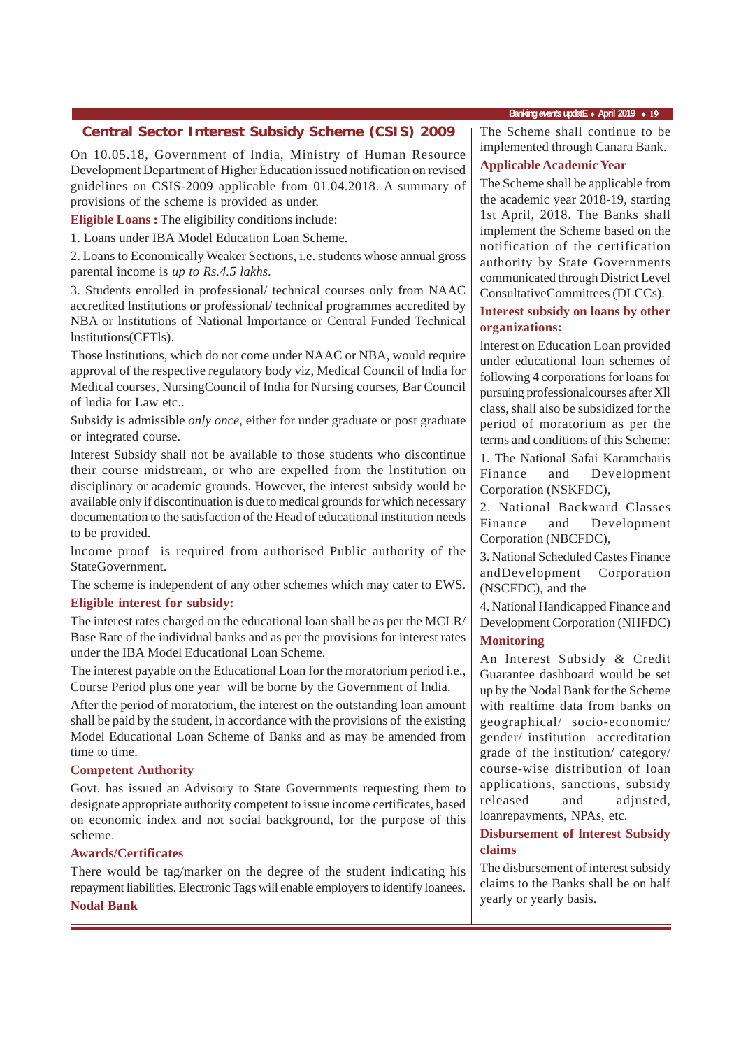## **Central Sector Interest Subsidy Scheme (CSIS) 2009** | The Scheme shall continue to be

On 10.05.18, Government of lndia, Ministry of Human Resource Development Department of Higher Education issued notification on revised guidelines on CSIS-2009 applicable from 01.04.2018. A summary of provisions of the scheme is provided as under.

**Eligible Loans :** The eligibility conditions include:

1. Loans under IBA Model Education Loan Scheme.

2. Loans to Economically Weaker Sections, i.e. students whose annual gross parental income is *up to Rs.4.5 lakhs*.

3. Students enrolled in professional/ technical courses only from NAAC accredited lnstitutions or professional/ technical programmes accredited by NBA or lnstitutions of National lmportance or Central Funded Technical lnstitutions(CFTls).

Those lnstitutions, which do not come under NAAC or NBA, would require approval of the respective regulatory body viz, Medical Council of lndia for Medical courses, NursingCouncil of India for Nursing courses, Bar Council of lndia for Law etc..

Subsidy is admissible *only once*, either for under graduate or post graduate or integrated course.

lnterest Subsidy shall not be available to those students who discontinue their course midstream, or who are expelled from the lnstitution on disciplinary or academic grounds. However, the interest subsidy would be available only if discontinuation is due to medical grounds for which necessary documentation to the satisfaction of the Head of educational institution needs to be provided.

lncome proof is required from authorised Public authority of the StateGovernment.

The scheme is independent of any other schemes which may cater to EWS.

#### **Eligible interest for subsidy:**

The interest rates charged on the educational loan shall be as per the MCLR/ Base Rate of the individual banks and as per the provisions for interest rates under the IBA Model Educational Loan Scheme.

The interest payable on the Educational Loan for the moratorium period i.e., Course Period plus one year will be borne by the Government of lndia.

After the period of moratorium, the interest on the outstanding loan amount shall be paid by the student, in accordance with the provisions of the existing Model Educational Loan Scheme of Banks and as may be amended from time to time.

#### **Competent Authority**

Govt. has issued an Advisory to State Governments requesting them to designate appropriate authority competent to issue income certificates, based on economic index and not social background, for the purpose of this scheme.

#### **Awards/Certificates**

There would be tag/marker on the degree of the student indicating his repayment liabilities. Electronic Tags will enable employers to identify loanees. **Nodal Bank**

#### **Banking** *events* **updatE** ♦ **April 2019** ♦ 19

implemented through Canara Bank.

#### **Applicable Academic Year**

The Scheme shall be applicable from the academic year 2018-19, starting 1st April, 2018. The Banks shall implement the Scheme based on the notification of the certification authority by State Governments communicated through District Level ConsultativeCommittees (DLCCs).

#### **Interest subsidy on loans by other organizations:**

lnterest on Education Loan provided under educational loan schemes of following 4 corporations for loans for pursuing professionalcourses after Xll class, shall also be subsidized for the period of moratorium as per the terms and conditions of this Scheme:

1. The National Safai Karamcharis Finance and Development Corporation (NSKFDC),

2. National Backward Classes Finance and Development Corporation (NBCFDC),

3. National Scheduled Castes Finance andDevelopment Corporation (NSCFDC), and the

4. National Handicapped Finance and Development Corporation (NHFDC) **Monitoring**

An lnterest Subsidy & Credit Guarantee dashboard would be set up by the Nodal Bank for the Scheme with realtime data from banks on geographical/ socio-economic/ gender/ institution accreditation grade of the institution/ category/ course-wise distribution of loan applications, sanctions, subsidy released and adjusted, loanrepayments, NPAs, etc.

### **Disbursement of lnterest Subsidy claims**

The disbursement of interest subsidy claims to the Banks shall be on half yearly or yearly basis.